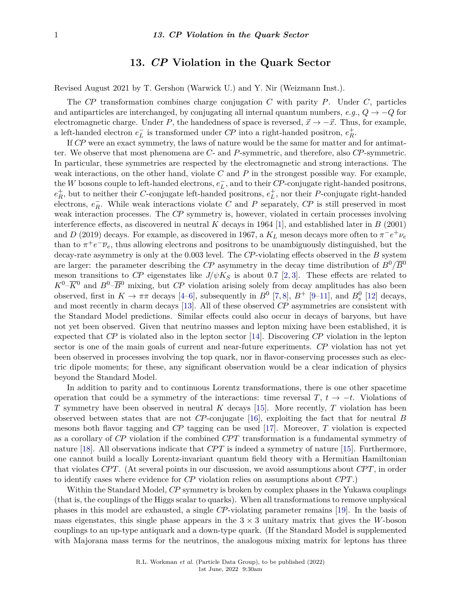## **13.** *CP* **Violation in the Quark Sector**

Revised August 2021 by T. Gershon (Warwick U.) and Y. Nir (Weizmann Inst.).

The *CP* transformation combines charge conjugation *C* with parity *P*. Under *C*, particles and antiparticles are interchanged, by conjugating all internal quantum numbers,  $e,q, Q \rightarrow -Q$  for electromagnetic charge. Under *P*, the handedness of space is reversed,  $\vec{x} \to -\vec{x}$ . Thus, for example, a left-handed electron  $e^-_L$  is transformed under *CP* into a right-handed positron,  $e^+_R$ .

If *CP* were an exact symmetry, the laws of nature would be the same for matter and for antimatter. We observe that most phenomena are *C*- and *P*-symmetric, and therefore, also *CP*-symmetric. In particular, these symmetries are respected by the electromagnetic and strong interactions. The weak interactions, on the other hand, violate *C* and *P* in the strongest possible way. For example, the *W* bosons couple to left-handed electrons,  $e_L^+$ , and to their *CP*-conjugate right-handed positrons,  $e_R^+$ , but to neither their *C*-conjugate left-handed positrons,  $e_L^+$ , nor their *P*-conjugate right-handed electrons,  $e_R^-$ . While weak interactions violate *C* and *P* separately, *CP* is still preserved in most weak interaction processes. The *CP* symmetry is, however, violated in certain processes involving interference effects, as discovered in neutral *K* decays in 1964 [\[1\]](#page-26-0), and established later in *B* (2001) and *D* (2019) decays. For example, as discovered in 1967, a  $K_L$  meson decays more often to  $\pi^-e^+\nu_e$ than to  $\pi^+e^-\overline{\nu}_e$ , thus allowing electrons and positrons to be unambiguously distinguished, but the decay-rate asymmetry is only at the 0.003 level. The *CP*-violating effects observed in the *B* system are larger: the parameter describing the *CP* asymmetry in the decay time distribution of  $B^0/\overline{B}^0$ meson transitions to *CP* eigenstates like  $J/\psi K_S$  is about 0.7 [\[2,](#page-26-1) [3\]](#page-26-2). These effects are related to  $K^0-\overline{K}^0$  and  $B^0-\overline{B}^0$  mixing, but *CP* violation arising solely from decay amplitudes has also been observed, first in  $K \to \pi\pi$  decays [\[4](#page-26-3)[–6\]](#page-26-4), subsequently in  $B^0$  [\[7,](#page-26-5)[8\]](#page-26-6),  $B^+$  [\[9](#page-26-7)[–11\]](#page-26-8), and  $B^0_s$  [\[12\]](#page-26-9) decays, and most recently in charm decays [\[13\]](#page-26-10). All of these observed *CP* asymmetries are consistent with the Standard Model predictions. Similar effects could also occur in decays of baryons, but have not yet been observed. Given that neutrino masses and lepton mixing have been established, it is expected that *CP* is violated also in the lepton sector [\[14\]](#page-26-11). Discovering *CP* violation in the lepton sector is one of the main goals of current and near-future experiments. *CP* violation has not yet been observed in processes involving the top quark, nor in flavor-conserving processes such as electric dipole moments; for these, any significant observation would be a clear indication of physics beyond the Standard Model.

In addition to parity and to continuous Lorentz transformations, there is one other spacetime operation that could be a symmetry of the interactions: time reversal *T*,  $t \to -t$ . Violations of *T* symmetry have been observed in neutral *K* decays [\[15\]](#page-26-12). More recently, *T* violation has been observed between states that are not *CP*-conjugate [\[16\]](#page-26-13), exploiting the fact that for neutral *B* mesons both flavor tagging and *CP* tagging can be used [\[17\]](#page-26-14). Moreover, *T* violation is expected as a corollary of *CP* violation if the combined *CP T* transformation is a fundamental symmetry of nature [\[18\]](#page-26-15). All observations indicate that *CPT* is indeed a symmetry of nature [\[15\]](#page-26-12). Furthermore, one cannot build a locally Lorentz-invariant quantum field theory with a Hermitian Hamiltonian that violates *CP T*. (At several points in our discussion, we avoid assumptions about *CP T*, in order to identify cases where evidence for *CP* violation relies on assumptions about *CP T*.)

Within the Standard Model, *CP* symmetry is broken by complex phases in the Yukawa couplings (that is, the couplings of the Higgs scalar to quarks). When all transformations to remove unphysical phases in this model are exhausted, a single *CP*-violating parameter remains [\[19\]](#page-26-16). In the basis of mass eigenstates, this single phase appears in the  $3 \times 3$  unitary matrix that gives the *W*-boson couplings to an up-type antiquark and a down-type quark. (If the Standard Model is supplemented with Majorana mass terms for the neutrinos, the analogous mixing matrix for leptons has three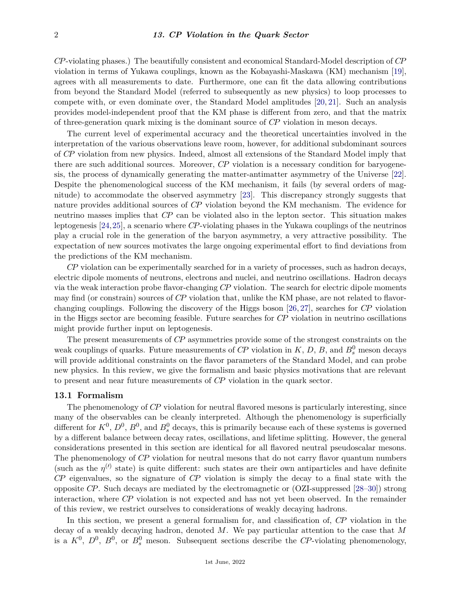*CP*-violating phases.) The beautifully consistent and economical Standard-Model description of *CP* violation in terms of Yukawa couplings, known as the Kobayashi-Maskawa (KM) mechanism [\[19\]](#page-26-16), agrees with all measurements to date. Furthermore, one can fit the data allowing contributions from beyond the Standard Model (referred to subsequently as new physics) to loop processes to compete with, or even dominate over, the Standard Model amplitudes [\[20,](#page-26-17) [21\]](#page-26-18). Such an analysis provides model-independent proof that the KM phase is different from zero, and that the matrix of three-generation quark mixing is the dominant source of *CP* violation in meson decays.

The current level of experimental accuracy and the theoretical uncertainties involved in the interpretation of the various observations leave room, however, for additional subdominant sources of *CP* violation from new physics. Indeed, almost all extensions of the Standard Model imply that there are such additional sources. Moreover, *CP* violation is a necessary condition for baryogenesis, the process of dynamically generating the matter-antimatter asymmetry of the Universe [\[22\]](#page-26-19). Despite the phenomenological success of the KM mechanism, it fails (by several orders of magnitude) to accommodate the observed asymmetry [\[23\]](#page-27-0). This discrepancy strongly suggests that nature provides additional sources of *CP* violation beyond the KM mechanism. The evidence for neutrino masses implies that *CP* can be violated also in the lepton sector. This situation makes leptogenesis [\[24,](#page-27-1)[25\]](#page-27-2), a scenario where *CP*-violating phases in the Yukawa couplings of the neutrinos play a crucial role in the generation of the baryon asymmetry, a very attractive possibility. The expectation of new sources motivates the large ongoing experimental effort to find deviations from the predictions of the KM mechanism.

*CP* violation can be experimentally searched for in a variety of processes, such as hadron decays, electric dipole moments of neutrons, electrons and nuclei, and neutrino oscillations. Hadron decays via the weak interaction probe flavor-changing *CP* violation. The search for electric dipole moments may find (or constrain) sources of *CP* violation that, unlike the KM phase, are not related to flavorchanging couplings. Following the discovery of the Higgs boson [\[26,](#page-27-3) [27\]](#page-27-4), searches for *CP* violation in the Higgs sector are becoming feasible. Future searches for *CP* violation in neutrino oscillations might provide further input on leptogenesis.

The present measurements of *CP* asymmetries provide some of the strongest constraints on the weak couplings of quarks. Future measurements of  $\mathbb{CP}$  violation in  $K$ ,  $D$ ,  $B$ , and  $B_s^0$  meson decays will provide additional constraints on the flavor parameters of the Standard Model, and can probe new physics. In this review, we give the formalism and basic physics motivations that are relevant to present and near future measurements of *CP* violation in the quark sector.

#### **13.1 Formalism**

The phenomenology of *CP* violation for neutral flavored mesons is particularly interesting, since many of the observables can be cleanly interpreted. Although the phenomenology is superficially different for  $K^0$ ,  $D^0$ ,  $B^0$ , and  $B^0_s$  decays, this is primarily because each of these systems is governed by a different balance between decay rates, oscillations, and lifetime splitting. However, the general considerations presented in this section are identical for all flavored neutral pseudoscalar mesons. The phenomenology of *CP* violation for neutral mesons that do not carry flavor quantum numbers (such as the  $\eta^{(l)}$  state) is quite different: such states are their own antiparticles and have definite *CP* eigenvalues, so the signature of *CP* violation is simply the decay to a final state with the opposite *CP*. Such decays are mediated by the electromagnetic or (OZI-suppressed [\[28–](#page-27-5)[30\]](#page-27-6)) strong interaction, where *CP* violation is not expected and has not yet been observed. In the remainder of this review, we restrict ourselves to considerations of weakly decaying hadrons.

In this section, we present a general formalism for, and classification of, *CP* violation in the decay of a weakly decaying hadron, denoted *M*. We pay particular attention to the case that *M* is a  $K^0$ ,  $D^0$ ,  $B^0$ , or  $B_s^0$  meson. Subsequent sections describe the *CP*-violating phenomenology,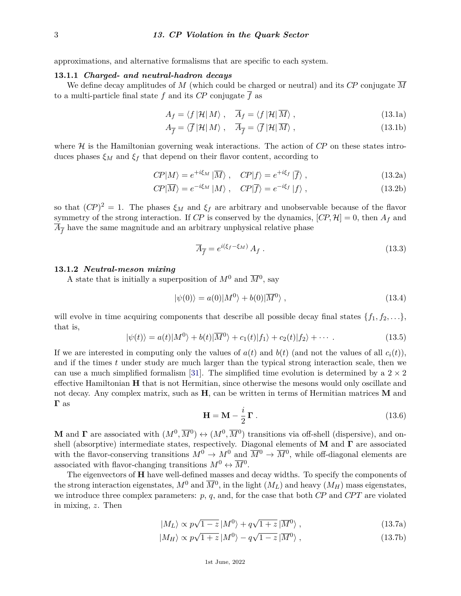approximations, and alternative formalisms that are specific to each system.

#### **13.1.1** *Charged- and neutral-hadron decays*

We define decay amplitudes of *M* (which could be charged or neutral) and its *CP* conjugate *M* to a multi-particle final state f and its  $\overline{CP}$  conjugate  $\overline{f}$  as

$$
A_f = \langle f | \mathcal{H} | M \rangle \,, \quad \overline{A}_f = \langle f | \mathcal{H} | \overline{M} \rangle \,, \tag{13.1a}
$$

$$
A_{\overline{f}} = \langle \overline{f} | \mathcal{H} | M \rangle \,, \quad \overline{A}_{\overline{f}} = \langle \overline{f} | \mathcal{H} | \overline{M} \rangle \,, \tag{13.1b}
$$

where  $H$  is the Hamiltonian governing weak interactions. The action of  $\mathbb{CP}$  on these states introduces phases  $\xi_M$  and  $\xi_f$  that depend on their flavor content, according to

$$
CP|M\rangle = e^{+i\xi_M} |\overline{M}\rangle , \quad CP|f\rangle = e^{+i\xi_f} |\overline{f}\rangle , \qquad (13.2a)
$$

$$
CP|\overline{M}\rangle = e^{-i\xi_M} |M\rangle \ , \quad CP|\overline{f}\rangle = e^{-i\xi_f} |f\rangle \ , \tag{13.2b}
$$

so that  $(CP)^2 = 1$ . The phases  $\xi_M$  and  $\xi_f$  are arbitrary and unobservable because of the flavor symmetry of the strong interaction. If *CP* is conserved by the dynamics,  $[CP, H] = 0$ , then  $A_f$  and  $\overline{A}_{\overline{f}}$  have the same magnitude and an arbitrary unphysical relative phase

$$
\overline{A}_{\overline{f}} = e^{i(\xi_f - \xi_M)} A_f . \tag{13.3}
$$

#### **13.1.2** *Neutral-meson mixing*

A state that is initially a superposition of  $M^0$  and  $\overline{M}^0$ , say

$$
|\psi(0)\rangle = a(0)|M^0\rangle + b(0)|\overline{M}^0\rangle , \qquad (13.4)
$$

will evolve in time acquiring components that describe all possible decay final states  $\{f_1, f_2, \ldots\}$ , that is,

$$
|\psi(t)\rangle = a(t)|M^0\rangle + b(t)|\overline{M}^0\rangle + c_1(t)|f_1\rangle + c_2(t)|f_2\rangle + \cdots
$$
\n(13.5)

If we are interested in computing only the values of  $a(t)$  and  $b(t)$  (and not the values of all  $c_i(t)$ ), and if the times *t* under study are much larger than the typical strong interaction scale, then we can use a much simplified formalism [\[31\]](#page-27-7). The simplified time evolution is determined by a  $2 \times 2$ effective Hamiltonian **H** that is not Hermitian, since otherwise the mesons would only oscillate and not decay. Any complex matrix, such as **H**, can be written in terms of Hermitian matrices **M** and **Γ** as

$$
\mathbf{H} = \mathbf{M} - \frac{i}{2} \mathbf{\Gamma} \tag{13.6}
$$

**M** and **Γ** are associated with  $(M^0, \overline{M}^0) \leftrightarrow (M^0, \overline{M}^0)$  transitions via off-shell (dispersive), and onshell (absorptive) intermediate states, respectively. Diagonal elements of **M** and **Γ** are associated with the flavor-conserving transitions  $M^0 \to M^0$  and  $\overline{M}{}^0 \to \overline{M}{}^0$ , while off-diagonal elements are associated with flavor-changing transitions  $M^0 \leftrightarrow \overline{M}{}^0$ .

The eigenvectors of **H** have well-defined masses and decay widths. To specify the components of the strong interaction eigenstates,  $M^0$  and  $\overline{M}^0$ , in the light  $(M_L)$  and heavy  $(M_H)$  mass eigenstates, we introduce three complex parameters:  $p$ ,  $q$ , and, for the case that both *CP* and *CPT* are violated in mixing, *z*. Then

$$
|M_L\rangle \propto p\sqrt{1-z}|M^0\rangle + q\sqrt{1+z}|\overline{M}^0\rangle , \qquad (13.7a)
$$

$$
|M_H\rangle \propto p\sqrt{1+z} \, |M^0\rangle - q\sqrt{1-z} \, |\overline{M}^0\rangle \,,\tag{13.7b}
$$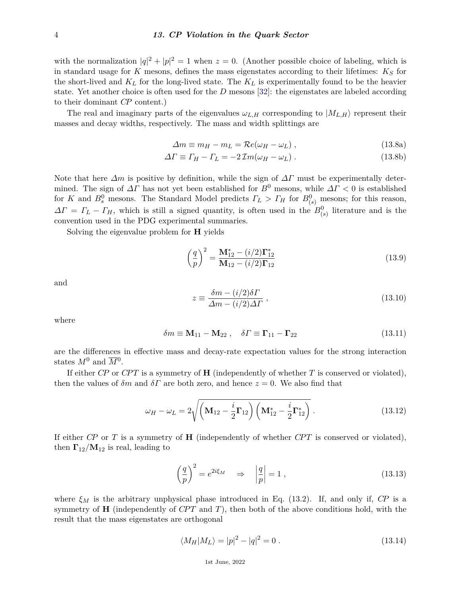with the normalization  $|q|^2 + |p|^2 = 1$  when  $z = 0$ . (Another possible choice of labeling, which is in standard usage for *K* mesons, defines the mass eigenstates according to their lifetimes: *K<sup>S</sup>* for the short-lived and *K<sup>L</sup>* for the long-lived state. The *K<sup>L</sup>* is experimentally found to be the heavier state. Yet another choice is often used for the *D* mesons [\[32\]](#page-27-8): the eigenstates are labeled according to their dominant *CP* content.)

The real and imaginary parts of the eigenvalues  $\omega_{L,H}$  corresponding to  $|M_{L,H}\rangle$  represent their masses and decay widths, respectively. The mass and width splittings are

$$
\Delta m \equiv m_H - m_L = \mathcal{R}e(\omega_H - \omega_L) \,, \tag{13.8a}
$$

$$
\Delta \Gamma \equiv \Gamma_H - \Gamma_L = -2 \mathcal{I} m(\omega_H - \omega_L) \,. \tag{13.8b}
$$

Note that here  $\Delta m$  is positive by definition, while the sign of  $\Delta \Gamma$  must be experimentally determined. The sign of  $\Delta\Gamma$  has not yet been established for  $B^0$  mesons, while  $\Delta\Gamma$  < 0 is established for *K* and  $B_s^0$  mesons. The Standard Model predicts  $\Gamma_L > \Gamma_H$  for  $B_{(s)}^0$  mesons; for this reason,  $\Delta\Gamma = \Gamma_L - \Gamma_H$ , which is still a signed quantity, is often used in the  $B^0_{(s)}$  literature and is the convention used in the PDG experimental summaries.

Solving the eigenvalue problem for **H** yields

$$
\left(\frac{q}{p}\right)^2 = \frac{\mathbf{M}_{12}^* - (i/2)\mathbf{\Gamma}_{12}^*}{\mathbf{M}_{12} - (i/2)\mathbf{\Gamma}_{12}}
$$
(13.9)

and

$$
z \equiv \frac{\delta m - (i/2)\delta \Gamma}{\Delta m - (i/2)\Delta \Gamma} , \qquad (13.10)
$$

where

$$
\delta m \equiv \mathbf{M}_{11} - \mathbf{M}_{22} , \quad \delta \Gamma \equiv \mathbf{\Gamma}_{11} - \mathbf{\Gamma}_{22} \tag{13.11}
$$

are the differences in effective mass and decay-rate expectation values for the strong interaction states  $M^0$  and  $\overline{M}{}^0$ .

If either *CP* or *CP T* is a symmetry of **H** (independently of whether *T* is conserved or violated), then the values of  $\delta m$  and  $\delta \Gamma$  are both zero, and hence  $z = 0$ . We also find that

$$
\omega_H - \omega_L = 2\sqrt{\left(\mathbf{M}_{12} - \frac{i}{2}\mathbf{\Gamma}_{12}\right)\left(\mathbf{M}_{12}^* - \frac{i}{2}\mathbf{\Gamma}_{12}^*\right)}.
$$
 (13.12)

If either *CP* or *T* is a symmetry of **H** (independently of whether *CP T* is conserved or violated), then  $\Gamma_{12}/\mathbf{M}_{12}$  is real, leading to

$$
\left(\frac{q}{p}\right)^2 = e^{2i\xi_M} \quad \Rightarrow \quad \left|\frac{q}{p}\right| = 1 \tag{13.13}
$$

where  $\xi_M$  is the arbitrary unphysical phase introduced in Eq. (13.2). If, and only if, *CP* is a symmetry of **H** (independently of *CP T* and *T*), then both of the above conditions hold, with the result that the mass eigenstates are orthogonal

$$
\langle M_H | M_L \rangle = |p|^2 - |q|^2 = 0.
$$
\n(13.14)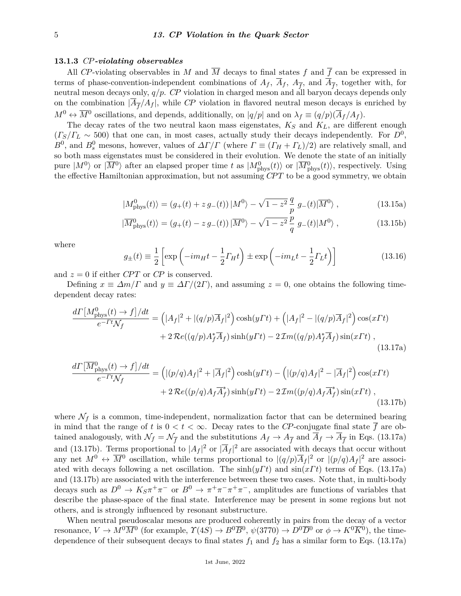#### **13.1.3** *CP-violating observables*

All *CP*-violating observables in *M* and  $\overline{M}$  decays to final states  $f$  and  $\overline{f}$  can be expressed in terms of phase-convention-independent combinations of  $A_f$ ,  $\overline{A}_f$ ,  $A_{\overline{f}}$ , and  $\overline{A}_{\overline{f}}$ , together with, for neutral meson decays only, *q/p*. *CP* violation in charged meson and all baryon decays depends only on the combination  $|\overline{A}_{\overline{f}}/A_f|$ , while CP violation in flavored neutral meson decays is enriched by  $M^0 \leftrightarrow \overline{M}^0$  oscillations, and depends, additionally, on  $|q/p|$  and on  $\lambda_f \equiv (q/p)(\overline{A}_f/A_f)$ .

The decay rates of the two neutral kaon mass eigenstates, *K<sup>S</sup>* and *KL*, are different enough  $(\Gamma_S/\Gamma_L \sim 500)$  that one can, in most cases, actually study their decays independently. For  $D^0$ , *B*<sup>0</sup>, and *B*<sup>0</sup><sub>*s*</sub> mesons, however, values of  $\Delta\Gamma/\Gamma$  (where  $\Gamma \equiv (\Gamma_H + \Gamma_L)/2$ ) are relatively small, and so both mass eigenstates must be considered in their evolution. We denote the state of an initially pure  $|M^0\rangle$  or  $|\overline{M}^0\rangle$  after an elapsed proper time *t* as  $|M^0_{\text{phys}}(t)\rangle$  or  $|\overline{M}^0_{\text{phys}}(t)\rangle$ , respectively. Using the effective Hamiltonian approximation, but not assuming *CP T* to be a good symmetry, we obtain

$$
|M_{\rm phys}^0(t)\rangle = (g_+(t) + z\,g_-(t))\,|M^0\rangle - \sqrt{1-z^2}\,\frac{q}{p}\,g_-(t)|\overline{M}^0\rangle\,,\tag{13.15a}
$$

$$
|\overline{M}_{\rm phys}^0(t)\rangle = (g_+(t) - z\,g_-(t))\,|\overline{M}^0\rangle - \sqrt{1-z^2}\,\frac{p}{q}\,g_-(t)|M^0\rangle\;, \tag{13.15b}
$$

where

$$
g_{\pm}(t) \equiv \frac{1}{2} \left[ \exp\left(-im_{H}t - \frac{1}{2}\Gamma_{H}t\right) \pm \exp\left(-im_{L}t - \frac{1}{2}\Gamma_{L}t\right) \right]
$$
(13.16)

and  $z = 0$  if either *CPT* or *CP* is conserved.

Defining  $x \equiv \Delta m/\Gamma$  and  $y \equiv \Delta \Gamma/(2\Gamma)$ , and assuming  $z = 0$ , one obtains the following timedependent decay rates:

$$
\frac{d\Gamma\left[M_{\text{phys}}^{0}(t)\to f\right]/dt}{e^{-\Gamma t}\mathcal{N}_{f}} = \left(|A_{f}|^{2} + |(q/p)\overline{A}_{f}|^{2}\right)\cosh(y\Gamma t) + \left(|A_{f}|^{2} - |(q/p)\overline{A}_{f}|^{2}\right)\cos(x\Gamma t) + 2\mathcal{R}e((q/p)A_{f}^{*}\overline{A}_{f})\sin(y\Gamma t) - 2\mathcal{I}m((q/p)A_{f}^{*}\overline{A}_{f})\sin(x\Gamma t), \tag{13.17a}
$$

$$
\frac{d\Gamma[\overline{M}_{\text{phys}}^0(t) \to f]/dt}{e^{-\Gamma t}\mathcal{N}_f} = ((p/q)A_f|^2 + |\overline{A}_f|^2) \cosh(y\Gamma t) - ((p/q)A_f|^2 - |\overline{A}_f|^2) \cos(x\Gamma t) \n+ 2\mathcal{R}e((p/q)A_f\overline{A}_f^*)\sin(y\Gamma t) - 2\mathcal{I}m((p/q)A_f\overline{A}_f^*)\sin(x\Gamma t) ,
$$
\n(13.17b)

where  $\mathcal{N}_f$  is a common, time-independent, normalization factor that can be determined bearing in mind that the range of *t* is  $0 < t < \infty$ . Decay rates to the *CP*-conjugate final state  $\overline{f}$  are obtained analogously, with  $\mathcal{N}_f = \mathcal{N}_{\overline{f}}$  and the substitutions  $A_f \to A_{\overline{f}}$  and  $\overline{A}_f \to \overline{A}_{\overline{f}}$  in Eqs. (13.17a) and (13.17b). Terms proportional to  $|A_f|^2$  or  $|\overline{A}_f|^2$  are associated with decays that occur without any net  $M^0 \leftrightarrow \overline{M}^0$  oscillation, while terms proportional to  $|(q/p)\overline{A}_f|^2$  or  $|(p/q)A_f|^2$  are associated with decays following a net oscillation. The sinh(*yΓ t*) and sin(*xΓ t*) terms of Eqs. (13.17a) and (13.17b) are associated with the interference between these two cases. Note that, in multi-body decays such as  $D^0 \to K_S \pi^+ \pi^-$  or  $B^0 \to \pi^+ \pi^- \pi^+ \pi^-$ , amplitudes are functions of variables that describe the phase-space of the final state. Interference may be present in some regions but not others, and is strongly influenced by resonant substructure.

When neutral pseudoscalar mesons are produced coherently in pairs from the decay of a vector resonance,  $V \to M^0 \overline{M}{}^0$  (for example,  $\Upsilon(4S) \to B^0 \overline{B}{}^0$ ,  $\psi(3770) \to D^0 \overline{D}{}^0$  or  $\phi \to K^0 \overline{K}{}^0$ ), the timedependence of their subsequent decays to final states  $f_1$  and  $f_2$  has a similar form to Eqs. (13.17a)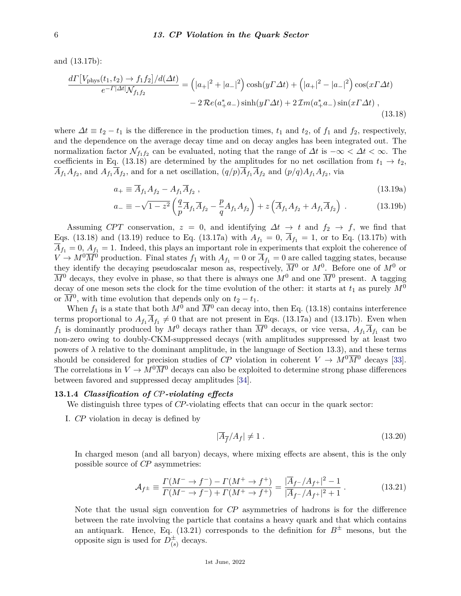and (13.17b):

$$
\frac{d\Gamma[V_{\text{phys}}(t_1, t_2) \to f_1 f_2]/d(\Delta t)}{e^{-\Gamma|\Delta t|} \mathcal{N}_{f_1 f_2}} = (|a_+|^2 + |a_-|^2) \cosh(y\Gamma \Delta t) + (|a_+|^2 - |a_-|^2) \cos(x\Gamma \Delta t) - 2\Re(e(a_+^* a_-) \sin(y\Gamma \Delta t) + 2\Im(z\Gamma \Delta t) , \tag{13.18}
$$

where  $\Delta t \equiv t_2 - t_1$  is the difference in the production times,  $t_1$  and  $t_2$ , of  $f_1$  and  $f_2$ , respectively, and the dependence on the average decay time and on decay angles has been integrated out. The normalization factor  $\mathcal{N}_{f_1 f_2}$  can be evaluated, noting that the range of  $\Delta t$  is  $-\infty < \Delta t < \infty$ . The coefficients in Eq. (13.18) are determined by the amplitudes for no net oscillation from  $t_1 \rightarrow t_2$ ,  $\overline{A}_{f_1}A_{f_2}$ , and  $A_{f_1}\overline{A}_{f_2}$ , and for a net oscillation,  $(q/p)\overline{A}_{f_1}\overline{A}_{f_2}$  and  $(p/q)A_{f_1}A_{f_2}$ , via

$$
a_{+} \equiv \overline{A}_{f_1} A_{f_2} - A_{f_1} \overline{A}_{f_2} , \qquad (13.19a)
$$

$$
a_{-} \equiv -\sqrt{1-z^2} \left( \frac{q}{p} \overline{A}_{f_1} \overline{A}_{f_2} - \frac{p}{q} A_{f_1} A_{f_2} \right) + z \left( \overline{A}_{f_1} A_{f_2} + A_{f_1} \overline{A}_{f_2} \right) . \tag{13.19b}
$$

Assuming *CPT* conservation,  $z = 0$ , and identifying  $\Delta t \rightarrow t$  and  $f_2 \rightarrow f$ , we find that Eqs. (13.18) and (13.19) reduce to Eq. (13.17a) with  $A_{f_1} = 0$ ,  $\overline{A}_{f_1} = 1$ , or to Eq. (13.17b) with  $\overline{A}_{f_1} = 0$ ,  $A_{f_1} = 1$ . Indeed, this plays an important role in experiments that exploit the coherence of  $V \to M^0 \overline{M}^0$  production. Final states  $f_1$  with  $A_{f_1} = 0$  or  $\overline{A}_{f_1} = 0$  are called tagging states, because they identify the decaying pseudoscalar meson as, respectively,  $\overline{M}{}^0$  or  $M^0$ . Before one of  $M^0$  or  $\overline{M}^0$  decays, they evolve in phase, so that there is always one  $M^0$  and one  $\overline{M}^0$  present. A tagging decay of one meson sets the clock for the time evolution of the other: it starts at  $t_1$  as purely  $M^0$ or  $\overline{M}^0$ , with time evolution that depends only on  $t_2 - t_1$ .

When  $f_1$  is a state that both  $M^0$  and  $\overline{M}{}^0$  can decay into, then Eq. (13.18) contains interference terms proportional to  $A_{f_1}A_{f_1} \neq 0$  that are not present in Eqs. (13.17a) and (13.17b). Even when *f*<sub>1</sub> is dominantly produced by  $M^0$  decays rather than  $\overline{M}^0$  decays, or vice versa,  $A_{f_1}A_{f_1}$  can be non-zero owing to doubly-CKM-suppressed decays (with amplitudes suppressed by at least two powers of  $\lambda$  relative to the dominant amplitude, in the language of Section 13.3), and these terms should be considered for precision studies of *CP* violation in coherent  $V \to M^0 \overline{M}{}^0$  decays [\[33\]](#page-27-9). The correlations in  $V \to M^0 \overline{M}{}^0$  decays can also be exploited to determine strong phase differences between favored and suppressed decay amplitudes [\[34\]](#page-27-10).

### **13.1.4** *Classification of CP-violating effects*

We distinguish three types of *CP*-violating effects that can occur in the quark sector:

I. *CP* violation in decay is defined by

$$
|\overline{A}_{\overline{f}}/A_f| \neq 1. \tag{13.20}
$$

In charged meson (and all baryon) decays, where mixing effects are absent, this is the only possible source of *CP* asymmetries:

$$
\mathcal{A}_{f^{\pm}} \equiv \frac{\Gamma(M^{-} \to f^{-}) - \Gamma(M^{+} \to f^{+})}{\Gamma(M^{-} \to f^{-}) + \Gamma(M^{+} \to f^{+})} = \frac{|\overline{A}_{f^{-}}/A_{f^{+}}|^{2} - 1}{|\overline{A}_{f^{-}}/A_{f^{+}}|^{2} + 1}.
$$
(13.21)

Note that the usual sign convention for *CP* asymmetries of hadrons is for the difference between the rate involving the particle that contains a heavy quark and that which contains an antiquark. Hence, Eq. (13.21) corresponds to the definition for  $B^{\pm}$  mesons, but the opposite sign is used for  $D_{\epsilon}^{\pm}$  $\frac{1}{(s)}$  decays.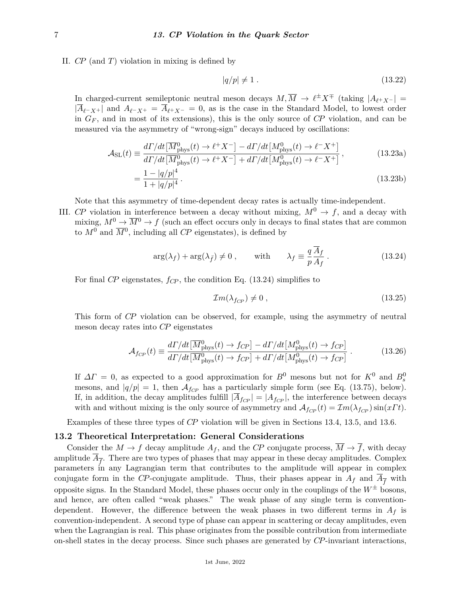II. *CP* (and *T*) violation in mixing is defined by

$$
|q/p| \neq 1. \tag{13.22}
$$

In charged-current semileptonic neutral meson decays  $M, \overline{M} \to \ell^{\pm} X^{\mp}$  (taking  $|A_{\ell^+ X^-}|$  =  $|\overline{A}_{\ell^-}X^+|$  and  $A_{\ell^-}X^+=\overline{A}_{\ell^+}X^- = 0$ , as is the case in the Standard Model, to lowest order in *G<sup>F</sup>* , and in most of its extensions), this is the only source of *CP* violation, and can be measured via the asymmetry of "wrong-sign" decays induced by oscillations:

$$
\mathcal{A}_{\rm SL}(t) \equiv \frac{d\Gamma/dt \left[ \overline{M}_{\rm phys}^0(t) \to \ell^+ X^- \right] - d\Gamma/dt \left[ M_{\rm phys}^0(t) \to \ell^- X^+ \right]}{d\Gamma/dt \left[ \overline{M}_{\rm phys}^0(t) \to \ell^+ X^- \right] + d\Gamma/dt \left[ M_{\rm phys}^0(t) \to \ell^- X^+ \right]},
$$
(13.23a)

$$
=\frac{1-|q/p|^4}{1+|q/p|^4}.
$$
\n(13.23b)

Note that this asymmetry of time-dependent decay rates is actually time-independent.

III. *CP* violation in interference between a decay without mixing,  $M^0 \rightarrow f$ , and a decay with mixing,  $M^0 \to \overline{M}{}^0 \to f$  (such an effect occurs only in decays to final states that are common to  $M^0$  and  $\overline{M}{}^0$ , including all *CP* eigenstates), is defined by

$$
\arg(\lambda_f) + \arg(\lambda_{\bar{f}}) \neq 0 , \quad \text{with} \quad \lambda_f \equiv \frac{q}{p} \frac{\bar{A}_f}{A_f} . \tag{13.24}
$$

For final *CP* eigenstates, *fCP* , the condition Eq. (13.24) simplifies to

$$
\mathcal{I}m(\lambda_{f_{CP}}) \neq 0 \tag{13.25}
$$

This form of *CP* violation can be observed, for example, using the asymmetry of neutral meson decay rates into *CP* eigenstates

$$
\mathcal{A}_{f_{CP}}(t) \equiv \frac{d\Gamma/dt \left[\overline{M}_{\rm phys}^0(t) \to f_{CP}\right] - d\Gamma/dt \left[M_{\rm phys}^0(t) \to f_{CP}\right]}{d\Gamma/dt \left[\overline{M}_{\rm phys}^0(t) \to f_{CP}\right] + d\Gamma/dt \left[M_{\rm phys}^0(t) \to f_{CP}\right]} \,. \tag{13.26}
$$

If  $\Delta\Gamma = 0$ , as expected to a good approximation for  $B^0$  mesons but not for  $K^0$  and  $B^0_s$ mesons, and  $|q/p| = 1$ , then  $\mathcal{A}_{f_{CP}}$  has a particularly simple form (see Eq. (13.75), below). If, in addition, the decay amplitudes fulfill  $|\overline{A}_{f_{CP}}| = |A_{f_{CP}}|$ , the interference between decays with and without mixing is the only source of asymmetry and  $A_{f_{CP}}(t) = \mathcal{I}m(\lambda_{f_{CP}})\sin(x\Gamma t)$ .

Examples of these three types of *CP* violation will be given in Sections 13.4, 13.5, and 13.6.

### **13.2 Theoretical Interpretation: General Considerations**

Consider the  $M \to f$  decay amplitude  $A_f$ , and the *CP* conjugate process,  $\overline{M} \to \overline{f}$ , with decay amplitude  $\overline{A}_{\overline{f}}$ . There are two types of phases that may appear in these decay amplitudes. Complex parameters in any Lagrangian term that contributes to the amplitude will appear in complex conjugate form in the *CP*-conjugate amplitude. Thus, their phases appear in  $A_f$  and  $A_f^-$  with opposite signs. In the Standard Model, these phases occur only in the couplings of the  $W^{\pm}$  bosons, and hence, are often called "weak phases." The weak phase of any single term is conventiondependent. However, the difference between the weak phases in two different terms in  $A_f$  is convention-independent. A second type of phase can appear in scattering or decay amplitudes, even when the Lagrangian is real. This phase originates from the possible contribution from intermediate on-shell states in the decay process. Since such phases are generated by *CP*-invariant interactions,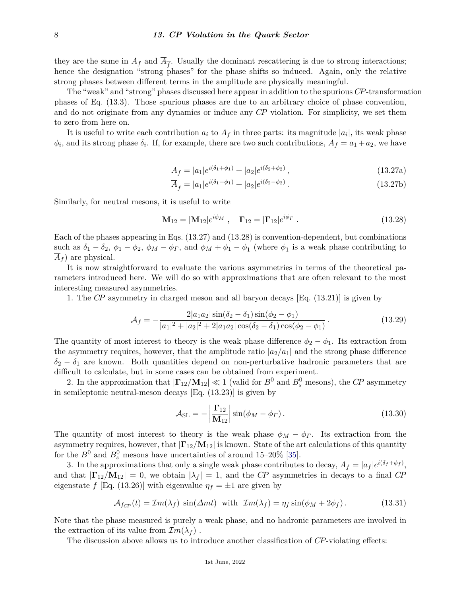they are the same in  $A_f$  and  $\overline{A}_{\overline{f}}$ . Usually the dominant rescattering is due to strong interactions; hence the designation "strong phases" for the phase shifts so induced. Again, only the relative strong phases between different terms in the amplitude are physically meaningful.

The "weak" and "strong" phases discussed here appear in addition to the spurious *CP*-transformation phases of Eq. (13.3). Those spurious phases are due to an arbitrary choice of phase convention, and do not originate from any dynamics or induce any *CP* violation. For simplicity, we set them to zero from here on.

It is useful to write each contribution  $a_i$  to  $A_f$  in three parts: its magnitude  $|a_i|$ , its weak phase  $\phi_i$ , and its strong phase  $\delta_i$ . If, for example, there are two such contributions,  $A_f = a_1 + a_2$ , we have

$$
A_f = |a_1|e^{i(\delta_1 + \phi_1)} + |a_2|e^{i(\delta_2 + \phi_2)}, \qquad (13.27a)
$$

$$
\overline{A}_{\overline{f}} = |a_1|e^{i(\delta_1 - \phi_1)} + |a_2|e^{i(\delta_2 - \phi_2)}.
$$
\n(13.27b)

Similarly, for neutral mesons, it is useful to write

$$
\mathbf{M}_{12} = |\mathbf{M}_{12}|e^{i\phi_M} , \quad \mathbf{\Gamma}_{12} = |\mathbf{\Gamma}_{12}|e^{i\phi_T} . \tag{13.28}
$$

Each of the phases appearing in Eqs. (13.27) and (13.28) is convention-dependent, but combinations such as  $\delta_1 - \delta_2$ ,  $\phi_1 - \phi_2$ ,  $\phi_M - \phi_\Gamma$ , and  $\phi_M + \phi_1 - \phi_1$  (where  $\phi_1$  is a weak phase contributing to  $\overline{A}_f$  are physical.

It is now straightforward to evaluate the various asymmetries in terms of the theoretical parameters introduced here. We will do so with approximations that are often relevant to the most interesting measured asymmetries.

1. The *CP* asymmetry in charged meson and all baryon decays [Eq. (13.21)] is given by

$$
\mathcal{A}_f = -\frac{2|a_1a_2|\sin(\delta_2 - \delta_1)\sin(\phi_2 - \phi_1)}{|a_1|^2 + |a_2|^2 + 2|a_1a_2|\cos(\delta_2 - \delta_1)\cos(\phi_2 - \phi_1)}.\tag{13.29}
$$

The quantity of most interest to theory is the weak phase difference  $\phi_2 - \phi_1$ . Its extraction from the asymmetry requires, however, that the amplitude ratio  $|a_2/a_1|$  and the strong phase difference  $\delta_2 - \delta_1$  are known. Both quantities depend on non-perturbative hadronic parameters that are difficult to calculate, but in some cases can be obtained from experiment.

2. In the approximation that  $|\mathbf{\Gamma}_{12}/\mathbf{M}_{12}| \ll 1$  (valid for  $B^0$  and  $B^0_s$  mesons), the *CP* asymmetry in semileptonic neutral-meson decays [Eq. (13.23)] is given by

$$
\mathcal{A}_{\rm SL} = -\left|\frac{\Gamma_{12}}{\mathbf{M}_{12}}\right| \sin(\phi_M - \phi_\Gamma). \tag{13.30}
$$

The quantity of most interest to theory is the weak phase  $\phi_M - \phi_\Gamma$ . Its extraction from the asymmetry requires, however, that  $|\Gamma_{12}/M_{12}|$  is known. State of the art calculations of this quantity for the  $B^0$  and  $B^0_s$  mesons have uncertainties of around 15–20% [\[35\]](#page-27-11).

3. In the approximations that only a single weak phase contributes to decay,  $A_f = |a_f|e^{i(\delta_f + \phi_f)}$ , and that  $|\mathbf{\Gamma}_{12}/\mathbf{M}_{12}| = 0$ , we obtain  $|\lambda_f| = 1$ , and the *CP* asymmetries in decays to a final *CP* eigenstate *f* [Eq. (13.26)] with eigenvalue  $\eta_f = \pm 1$  are given by

$$
\mathcal{A}_{f_{CP}}(t) = \mathcal{I}m(\lambda_f) \sin(\Delta mt) \text{ with } \mathcal{I}m(\lambda_f) = \eta_f \sin(\phi_M + 2\phi_f). \tag{13.31}
$$

Note that the phase measured is purely a weak phase, and no hadronic parameters are involved in the extraction of its value from  $\mathcal{I}m(\lambda_f)$ .

The discussion above allows us to introduce another classification of *CP*-violating effects: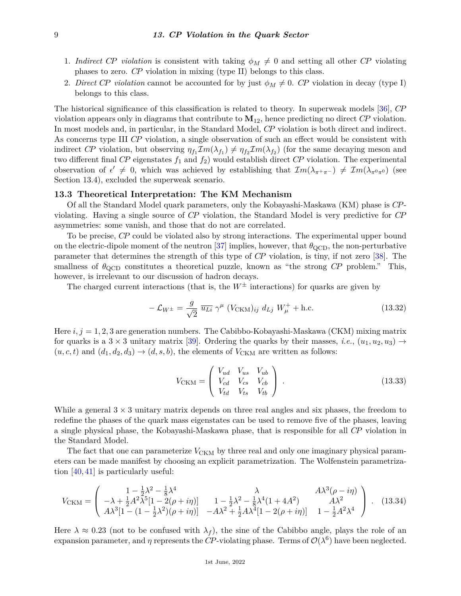- 1. *Indirect CP violation* is consistent with taking  $\phi_M \neq 0$  and setting all other *CP* violating phases to zero. *CP* violation in mixing (type II) belongs to this class.
- 2. *Direct CP violation* cannot be accounted for by just  $\phi_M \neq 0$ . *CP* violation in decay (type I) belongs to this class.

The historical significance of this classification is related to theory. In superweak models [\[36\]](#page-27-12), *CP* violation appears only in diagrams that contribute to **M**12, hence predicting no direct *CP* violation. In most models and, in particular, in the Standard Model, *CP* violation is both direct and indirect. As concerns type III *CP* violation, a single observation of such an effect would be consistent with indirect *CP* violation, but observing  $\eta_{f_1} \mathcal{I}m(\lambda_{f_1}) \neq \eta_{f_2} \mathcal{I}m(\lambda_{f_2})$  (for the same decaying meson and two different final  $\mathbb{CP}$  eigenstates  $f_1$  and  $f_2$ ) would establish direct  $\mathbb{CP}$  violation. The experimental observation of  $\epsilon' \neq 0$ , which was achieved by establishing that  $Im(\lambda_{\pi^+\pi^-}) \neq Im(\lambda_{\pi^0\pi^0})$  (see Section 13.4), excluded the superweak scenario.

#### **13.3 Theoretical Interpretation: The KM Mechanism**

Of all the Standard Model quark parameters, only the Kobayashi-Maskawa (KM) phase is *CP*violating. Having a single source of *CP* violation, the Standard Model is very predictive for *CP* asymmetries: some vanish, and those that do not are correlated.

To be precise, *CP* could be violated also by strong interactions. The experimental upper bound on the electric-dipole moment of the neutron [\[37\]](#page-27-13) implies, however, that  $\theta_{\text{QCD}}$ , the non-perturbative parameter that determines the strength of this type of *CP* violation, is tiny, if not zero [\[38\]](#page-27-14). The smallness of  $\theta_{\rm QCD}$  constitutes a theoretical puzzle, known as "the strong *CP* problem." This, however, is irrelevant to our discussion of hadron decays.

The charged current interactions (that is, the  $W^{\pm}$  interactions) for quarks are given by

$$
-\mathcal{L}_{W^{\pm}} = \frac{g}{\sqrt{2}} \overline{u_{Li}} \gamma^{\mu} (V_{\text{CKM}})_{ij} d_{Lj} W_{\mu}^{+} + \text{h.c.}
$$
\n(13.32)

Here  $i, j = 1, 2, 3$  are generation numbers. The Cabibbo-Kobayashi-Maskawa (CKM) mixing matrix for quarks is a  $3 \times 3$  unitary matrix [\[39\]](#page-27-15). Ordering the quarks by their masses, *i.e.*,  $(u_1, u_2, u_3) \rightarrow$  $(u, c, t)$  and  $(d_1, d_2, d_3) \rightarrow (d, s, b)$ , the elements of  $V_{\text{CKM}}$  are written as follows:

$$
V_{\text{CKM}} = \begin{pmatrix} V_{ud} & V_{us} & V_{ub} \\ V_{cd} & V_{cs} & V_{cb} \\ V_{td} & V_{ts} & V_{tb} \end{pmatrix} . \tag{13.33}
$$

While a general  $3 \times 3$  unitary matrix depends on three real angles and six phases, the freedom to redefine the phases of the quark mass eigenstates can be used to remove five of the phases, leaving a single physical phase, the Kobayashi-Maskawa phase, that is responsible for all *CP* violation in the Standard Model.

The fact that one can parameterize  $V_{\text{CKM}}$  by three real and only one imaginary physical parameters can be made manifest by choosing an explicit parametrization. The Wolfenstein parametrization [\[40,](#page-27-16) [41\]](#page-27-17) is particularly useful:

$$
V_{\text{CKM}} = \begin{pmatrix} 1 - \frac{1}{2}\lambda^2 - \frac{1}{8}\lambda^4 & \lambda & A\lambda^3(\rho - i\eta) \\ -\lambda + \frac{1}{2}A^2\lambda^5[1 - 2(\rho + i\eta)] & 1 - \frac{1}{2}\lambda^2 - \frac{1}{8}\lambda^4(1 + 4A^2) & A\lambda^2 \\ A\lambda^3[1 - (1 - \frac{1}{2}\lambda^2)(\rho + i\eta)] & -A\lambda^2 + \frac{1}{2}A\lambda^4[1 - 2(\rho + i\eta)] & 1 - \frac{1}{2}A^2\lambda^4 \end{pmatrix} .
$$
 (13.34)

Here  $\lambda \approx 0.23$  (not to be confused with  $\lambda_f$ ), the sine of the Cabibbo angle, plays the role of an expansion parameter, and  $\eta$  represents the *CP*-violating phase. Terms of  $\mathcal{O}(\lambda^6)$  have been neglected.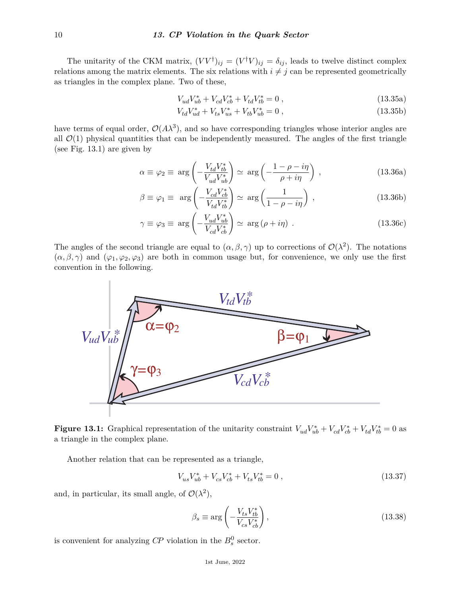The unitarity of the CKM matrix,  $(VV^{\dagger})_{ij} = (V^{\dagger}V)_{ij} = \delta_{ij}$ , leads to twelve distinct complex relations among the matrix elements. The six relations with  $i \neq j$  can be represented geometrically as triangles in the complex plane. Two of these,

$$
V_{ud}V_{ub}^* + V_{cd}V_{cb}^* + V_{td}V_{tb}^* = 0,
$$
\n(13.35a)

$$
V_{td}V_{ud}^* + V_{ts}V_{us}^* + V_{tb}V_{ub}^* = 0 , \qquad (13.35b)
$$

have terms of equal order,  $\mathcal{O}(A\lambda^3)$ , and so have corresponding triangles whose interior angles are all  $\mathcal{O}(1)$  physical quantities that can be independently measured. The angles of the first triangle (see Fig. 13.1) are given by

$$
\alpha \equiv \varphi_2 \equiv \arg \left( -\frac{V_{td} V_{tb}^*}{V_{ud} V_{ub}^*} \right) \simeq \arg \left( -\frac{1 - \rho - i\eta}{\rho + i\eta} \right) , \qquad (13.36a)
$$

$$
\beta \equiv \varphi_1 \equiv \arg \left( -\frac{V_{cd}V_{cb}^*}{V_{td}V_{tb}^*} \right) \simeq \arg \left( \frac{1}{1 - \rho - i\eta} \right) , \qquad (13.36b)
$$

$$
\gamma \equiv \varphi_3 \equiv \arg \left( -\frac{V_{ud} V_{ub}^*}{V_{cd} V_{cb}^*} \right) \simeq \arg \left( \rho + i \eta \right) \,. \tag{13.36c}
$$

The angles of the second triangle are equal to  $(\alpha, \beta, \gamma)$  up to corrections of  $\mathcal{O}(\lambda^2)$ . The notations  $(\alpha, \beta, \gamma)$  and  $(\varphi_1, \varphi_2, \varphi_3)$  are both in common usage but, for convenience, we only use the first convention in the following.



**Figure 13.1:** Graphical representation of the unitarity constraint  $V_{ud}V_{ub}^* + V_{cd}V_{cb}^* + V_{td}V_{tb}^* = 0$  as a triangle in the complex plane.

Another relation that can be represented as a triangle,

$$
V_{us}V_{ub}^* + V_{cs}V_{cb}^* + V_{ts}V_{tb}^* = 0 ,\qquad (13.37)
$$

and, in particular, its small angle, of  $\mathcal{O}(\lambda^2)$ ,

$$
\beta_s \equiv \arg \left( -\frac{V_{ts} V_{tb}^*}{V_{cs} V_{cb}^*} \right),\tag{13.38}
$$

is convenient for analyzing  $\mathbb{CP}$  violation in the  $B_s^0$  sector.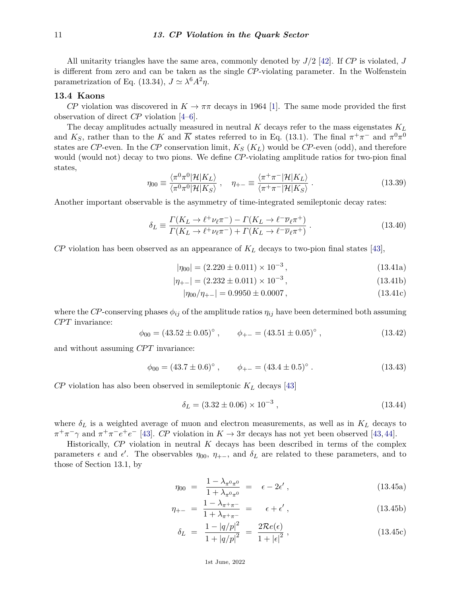All unitarity triangles have the same area, commonly denoted by *J/*2 [\[42\]](#page-27-18). If *CP* is violated, *J* is different from zero and can be taken as the single *CP*-violating parameter. In the Wolfenstein parametrization of Eq. (13.34),  $J \simeq \lambda^6 A^2 \eta$ .

## **13.4 Kaons**

*CP* violation was discovered in  $K \to \pi\pi$  decays in 1964 [\[1\]](#page-26-0). The same mode provided the first observation of direct *CP* violation [\[4](#page-26-3)[–6\]](#page-26-4).

The decay amplitudes actually measured in neutral *K* decays refer to the mass eigenstates *K<sup>L</sup>* and  $K_S$ , rather than to the *K* and  $\overline{K}$  states referred to in Eq. (13.1). The final  $\pi^+\pi^-$  and  $\pi^0\pi^0$ states are *CP*-even. In the *CP* conservation limit,  $K_S$  ( $K_L$ ) would be *CP*-even (odd), and therefore would (would not) decay to two pions. We define *CP*-violating amplitude ratios for two-pion final states,

$$
\eta_{00} \equiv \frac{\langle \pi^0 \pi^0 | \mathcal{H} | K_L \rangle}{\langle \pi^0 \pi^0 | \mathcal{H} | K_S \rangle} , \quad \eta_{+-} \equiv \frac{\langle \pi^+ \pi^- | \mathcal{H} | K_L \rangle}{\langle \pi^+ \pi^- | \mathcal{H} | K_S \rangle} . \tag{13.39}
$$

Another important observable is the asymmetry of time-integrated semileptonic decay rates:

$$
\delta_L \equiv \frac{\Gamma(K_L \to \ell^+ \nu_\ell \pi^-) - \Gamma(K_L \to \ell^- \overline{\nu}_\ell \pi^+)}{\Gamma(K_L \to \ell^+ \nu_\ell \pi^-) + \Gamma(K_L \to \ell^- \overline{\nu}_\ell \pi^+)}.
$$
\n(13.40)

*CP* violation has been observed as an appearance of *K<sup>L</sup>* decays to two-pion final states [\[43\]](#page-27-19),

$$
|\eta_{00}| = (2.220 \pm 0.011) \times 10^{-3}, \qquad (13.41a)
$$

$$
|\eta_{+-}| = (2.232 \pm 0.011) \times 10^{-3}, \qquad (13.41b)
$$

$$
|\eta_{00}/\eta_{+-}| = 0.9950 \pm 0.0007, \qquad (13.41c)
$$

where the *CP*-conserving phases  $\phi_{ij}$  of the amplitude ratios  $\eta_{ij}$  have been determined both assuming *CP T* invariance:

$$
\phi_{00} = (43.52 \pm 0.05)^{\circ}, \qquad \phi_{+-} = (43.51 \pm 0.05)^{\circ},
$$
\n(13.42)

and without assuming *CPT* invariance:

$$
\phi_{00} = (43.7 \pm 0.6)^{\circ} , \qquad \phi_{+-} = (43.4 \pm 0.5)^{\circ} . \tag{13.43}
$$

*CP* violation has also been observed in semileptonic *K<sup>L</sup>* decays [\[43\]](#page-27-19)

$$
\delta_L = (3.32 \pm 0.06) \times 10^{-3}, \qquad (13.44)
$$

where  $\delta_L$  is a weighted average of muon and electron measurements, as well as in  $K_L$  decays to  $\pi^+\pi^-\gamma$  and  $\pi^+\pi^-e^+e^-$  [\[43\]](#page-27-19). *CP* violation in  $K \to 3\pi$  decays has not yet been observed [\[43,](#page-27-19) [44\]](#page-27-20).

Historically, *CP* violation in neutral *K* decays has been described in terms of the complex parameters  $\epsilon$  and  $\epsilon'$ . The observables  $\eta_{00}$ ,  $\eta_{+-}$ , and  $\delta_L$  are related to these parameters, and to those of Section 13.1, by

$$
\eta_{00} = \frac{1 - \lambda_{\pi^0 \pi^0}}{1 + \lambda_{\pi^0 \pi^0}} = \epsilon - 2\epsilon', \qquad (13.45a)
$$

$$
\eta_{+-} = \frac{1 - \lambda_{\pi^+ \pi^-}}{1 + \lambda_{\pi^+ \pi^-}} = \epsilon + \epsilon', \qquad (13.45b)
$$

$$
\delta_L = \frac{1 - |q/p|^2}{1 + |q/p|^2} = \frac{2\mathcal{R}e(\epsilon)}{1 + |\epsilon|^2},
$$
\n(13.45c)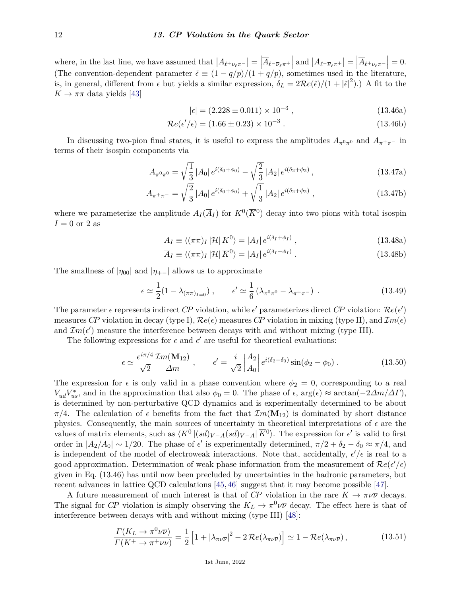where, in the last line, we have assumed that  $|A_{\ell^+\nu_{\ell}\pi^-}| = |\overline{A}_{\ell^-\overline{\nu}_{\ell}\pi^+}|$  and  $|A_{\ell^-\overline{\nu}_{\ell}\pi^+}| = |\overline{A}_{\ell^+\nu_{\ell}\pi^-}| = 0$ . (The convention-dependent parameter  $\tilde{\epsilon} \equiv (1 - q/p)/(1 + q/p)$ , sometimes used in the literature, is, in general, different from  $\epsilon$  but yields a similar expression,  $\delta_L = 2\mathcal{R}e(\tilde{\epsilon})/(1+|\tilde{\epsilon}|^2)$ .) A fit to the  $K \to \pi\pi$  data yields [\[43\]](#page-27-19)

$$
|\epsilon| = (2.228 \pm 0.011) \times 10^{-3}, \tag{13.46a}
$$

$$
\mathcal{R}e(\epsilon'/\epsilon) = (1.66 \pm 0.23) \times 10^{-3} \,. \tag{13.46b}
$$

In discussing two-pion final states, it is useful to express the amplitudes  $A_{\pi^0\pi^0}$  and  $A_{\pi^+\pi^-}$  in terms of their isospin components via

$$
A_{\pi^0 \pi^0} = \sqrt{\frac{1}{3}} |A_0| e^{i(\delta_0 + \phi_0)} - \sqrt{\frac{2}{3}} |A_2| e^{i(\delta_2 + \phi_2)}, \qquad (13.47a)
$$

$$
A_{\pi^+\pi^-} = \sqrt{\frac{2}{3}} |A_0| e^{i(\delta_0 + \phi_0)} + \sqrt{\frac{1}{3}} |A_2| e^{i(\delta_2 + \phi_2)}, \qquad (13.47b)
$$

where we parameterize the amplitude  $A_I(\overline{A}_I)$  for  $K^0(\overline{K}^0)$  decay into two pions with total isospin  $I = 0$  or 2 as

$$
A_I \equiv \langle (\pi \pi)_I | \mathcal{H} | K^0 \rangle = |A_I| e^{i(\delta_I + \phi_I)}, \qquad (13.48a)
$$

$$
\overline{A}_I \equiv \langle (\pi \pi)_I | \mathcal{H} | \overline{K}^0 \rangle = |A_I| e^{i(\delta_I - \phi_I)} . \tag{13.48b}
$$

The smallness of  $|\eta_{00}|$  and  $|\eta_{+-}|$  allows us to approximate

$$
\epsilon \simeq \frac{1}{2} (1 - \lambda_{(\pi \pi)_{I=0}}) , \qquad \epsilon' \simeq \frac{1}{6} (\lambda_{\pi^0 \pi^0} - \lambda_{\pi^+ \pi^-}) . \tag{13.49}
$$

The parameter  $\epsilon$  represents indirect *CP* violation, while  $\epsilon'$  parameterizes direct *CP* violation:  $\Re e(\epsilon')$ measures *CP* violation in decay (type I),  $\mathcal{R}e(\epsilon)$  measures *CP* violation in mixing (type II), and  $\mathcal{I}m(\epsilon)$ and  $\mathcal{I}m(\epsilon')$  measure the interference between decays with and without mixing (type III).

The following expressions for  $\epsilon$  and  $\epsilon'$  are useful for theoretical evaluations:

$$
\epsilon \simeq \frac{e^{i\pi/4}}{\sqrt{2}} \frac{\mathcal{I}m(\mathbf{M}_{12})}{\Delta m} , \qquad \epsilon' = \frac{i}{\sqrt{2}} \left| \frac{A_2}{A_0} \right| e^{i(\delta_2 - \delta_0)} \sin(\phi_2 - \phi_0) . \tag{13.50}
$$

The expression for  $\epsilon$  is only valid in a phase convention where  $\phi_2 = 0$ , corresponding to a real  $V_{ud}V_{us}^*$ , and in the approximation that also  $\phi_0 = 0$ . The phase of  $\epsilon$ , arg( $\epsilon$ ) ≈ arctan( $-2\Delta m/\Delta\Gamma$ ), is determined by non-perturbative QCD dynamics and is experimentally determined to be about *π*/4. The calculation of  $\epsilon$  benefits from the fact that  $Im(\mathbf{M}_{12})$  is dominated by short distance physics. Consequently, the main sources of uncertainty in theoretical interpretations of  $\epsilon$  are the values of matrix elements, such as  $\langle K^0 | (\bar{s}d)_{V-A} (\bar{s}d)_{V-A} | \overline{K}^0 \rangle$ . The expression for  $\epsilon'$  is valid to first order in  $|A_2/A_0| \sim 1/20$ . The phase of  $\epsilon'$  is experimentally determined,  $\pi/2 + \delta_2 - \delta_0 \approx \pi/4$ , and is independent of the model of electroweak interactions. Note that, accidentally,  $\epsilon'/\epsilon$  is real to a good approximation. Determination of weak phase information from the measurement of  $\Re e(\epsilon'/\epsilon)$ given in Eq. (13.46) has until now been precluded by uncertainties in the hadronic parameters, but recent advances in lattice QCD calculations [\[45,](#page-27-21) [46\]](#page-27-22) suggest that it may become possible [\[47\]](#page-27-23).

A future measurement of much interest is that of *CP* violation in the rare  $K \to \pi \nu \overline{\nu}$  decays. The signal for *CP* violation is simply observing the  $K_L \to \pi^0 \nu \overline{\nu}$  decay. The effect here is that of interference between decays with and without mixing (type III) [\[48\]](#page-27-24):

$$
\frac{\Gamma(K_L \to \pi^0 \nu \overline{\nu})}{\Gamma(K^+ \to \pi^+ \nu \overline{\nu})} = \frac{1}{2} \left[ 1 + |\lambda_{\pi \nu \overline{\nu}}|^2 - 2 \Re ( \lambda_{\pi \nu \overline{\nu}}) \right] \simeq 1 - \Re ( \lambda_{\pi \nu \overline{\nu}}), \tag{13.51}
$$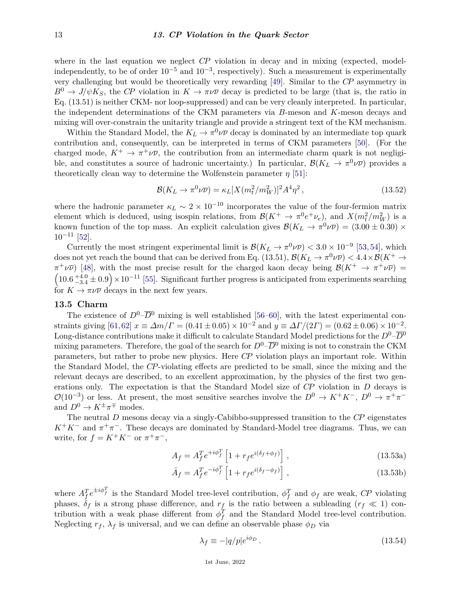where in the last equation we neglect *CP* violation in decay and in mixing (expected, modelindependently, to be of order  $10^{-5}$  and  $10^{-3}$ , respectively). Such a measurement is experimentally very challenging but would be theoretically very rewarding [\[49\]](#page-27-25). Similar to the *CP* asymmetry in  $B^0 \to J/\psi K_S$ , the *CP* violation in  $K \to \pi \nu \overline{\nu}$  decay is predicted to be large (that is, the ratio in Eq. (13.51) is neither CKM- nor loop-suppressed) and can be very cleanly interpreted. In particular, the independent determinations of the CKM parameters via *B*-meson and *K*-meson decays and mixing will over-constrain the unitarity triangle and provide a stringent text of the KM mechanism.

Within the Standard Model, the  $K_L \to \pi^0 \nu \overline{\nu}$  decay is dominated by an intermediate top quark contribution and, consequently, can be interpreted in terms of CKM parameters [\[50\]](#page-27-26). (For the charged mode,  $K^+ \to \pi^+ \nu \overline{\nu}$ , the contribution from an intermediate charm quark is not negligible, and constitutes a source of hadronic uncertainty.) In particular,  $\mathcal{B}(K_L \to \pi^0 \nu \overline{\nu})$  provides a theoretically clean way to determine the Wolfenstein parameter  $\eta$  [\[51\]](#page-27-27):

$$
\mathcal{B}(K_L \to \pi^0 \nu \overline{\nu}) = \kappa_L [X(m_t^2/m_W^2)]^2 A^4 \eta^2 , \qquad (13.52)
$$

where the hadronic parameter  $\kappa_L \sim 2 \times 10^{-10}$  incorporates the value of the four-fermion matrix element which is deduced, using isospin relations, from  $\mathcal{B}(K^+ \to \pi^0 e^+ \nu_e)$ , and  $X(m_t^2/m_W^2)$  is a known function of the top mass. An explicit calculation gives  $\mathcal{B}(K_L \to \pi^0 \nu \overline{\nu}) = (3.00 \pm 0.30) \times$  $10^{-11}$  [\[52\]](#page-27-28).

Currently the most stringent experimental limit is  $\mathcal{B}(K_L \to \pi^0 \nu \overline{\nu}) < 3.0 \times 10^{-9}$  [\[53,](#page-27-29) [54\]](#page-27-30), which does not yet reach the bound that can be derived from Eq. (13.51),  $\mathcal{B}(K_L \to \pi^0 \nu \overline{\nu}) < 4.4 \times \mathcal{B}(K^+ \to \overline{\nu})$  $\pi^+\nu\overline{\nu}$  [\[48\]](#page-27-24), with the most precise result for the charged kaon decay being  $\mathcal{B}(K^+\to\pi^+\nu\overline{\nu})$  =  $(10.6 + 4.0 \pm 0.9) \times 10^{-11}$  [\[55\]](#page-27-31). Significant further progress is anticipated from experiments searching for  $K \to \pi \nu \overline{\nu}$  decays in the next few years.

### **13.5 Charm**

The existence of  $D^0$ – $\overline{D}^0$  mixing is well established [\[56–](#page-27-32)[60\]](#page-28-0), with the latest experimental constraints giving  $[61,62]$  $[61,62]$   $x \equiv \Delta m/\Gamma = (0.41 \pm 0.05) \times 10^{-2}$  and  $y \equiv \Delta \Gamma/(2\Gamma) = (0.62 \pm 0.06) \times 10^{-2}$ . Long-distance contributions make it difficult to calculate Standard Model predictions for the  $D^0$ – $\overline{D}^0$ mixing parameters. Therefore, the goal of the search for  $D^0-\overline{D}^0$  mixing is not to constrain the CKM parameters, but rather to probe new physics. Here *CP* violation plays an important role. Within the Standard Model, the *CP*-violating effects are predicted to be small, since the mixing and the relevant decays are described, to an excellent approximation, by the physics of the first two generations only. The expectation is that the Standard Model size of *CP* violation in *D* decays is  $\mathcal{O}(10^{-3})$  or less. At present, the most sensitive searches involve the  $D^0 \to K^+K^-$ ,  $D^0 \to \pi^+\pi^$ and  $D^0 \to K^{\pm} \pi^{\mp}$  modes.

The neutral *D* mesons decay via a singly-Cabibbo-suppressed transition to the *CP* eigenstates  $K^+K^-$  and  $\pi^+\pi^-$ . These decays are dominated by Standard-Model tree diagrams. Thus, we can write, for  $f = K^+K^-$  or  $\pi^+\pi^-$ ,

$$
A_f = A_f^T e^{+i\phi_f^T} \left[ 1 + r_f e^{i(\delta_f + \phi_f)} \right],
$$
\n(13.53a)

$$
\bar{A}_f = A_f^T e^{-i\phi_f^T} \left[ 1 + r_f e^{i(\delta_f - \phi_f)} \right],
$$
\n(13.53b)

where  $A_f^T e^{\pm i \phi_f^T}$  is the Standard Model tree-level contribution,  $\phi_f^T$  and  $\phi_f$  are weak, *CP* violating phases,  $\delta_f$  is a strong phase difference, and  $r_f$  is the ratio between a subleading ( $r_f \ll 1$ ) contribution with a weak phase different from  $\phi_f^T$  and the Standard Model tree-level contribution. Neglecting  $r_f$ ,  $\lambda_f$  is universal, and we can define an observable phase  $\phi_D$  via

$$
\lambda_f \equiv -|q/p|e^{i\phi_D} \,. \tag{13.54}
$$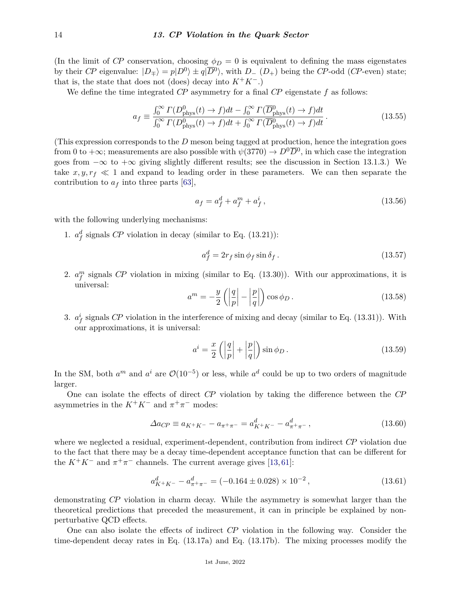(In the limit of *CP* conservation, choosing  $\phi_D = 0$  is equivalent to defining the mass eigenstates by their *CP* eigenvalue:  $|D_{\pm}\rangle = p|D^0\rangle \pm q|\overline{D}^0\rangle$ , with  $D_{-}(D_{+})$  being the *CP*-odd (*CP*-even) state; that is, the state that does not (does) decay into  $K^+K^-$ .)

We define the time integrated *CP* asymmetry for a final *CP* eigenstate *f* as follows:

$$
a_f \equiv \frac{\int_0^\infty \Gamma(D_{\text{phys}}^0(t) \to f)dt - \int_0^\infty \Gamma(\overline{D}_{\text{phys}}^0(t) \to f)dt}{\int_0^\infty \Gamma(D_{\text{phys}}^0(t) \to f)dt + \int_0^\infty \Gamma(\overline{D}_{\text{phys}}^0(t) \to f)dt}.
$$
(13.55)

(This expression corresponds to the *D* meson being tagged at production, hence the integration goes from 0 to  $+\infty$ ; measurements are also possible with  $\psi(3770) \to D^0 \overline{D}^0$ , in which case the integration goes from  $-\infty$  to  $+\infty$  giving slightly different results; see the discussion in Section 13.1.3.) We take  $x, y, r_f \ll 1$  and expand to leading order in these parameters. We can then separate the contribution to  $a_f$  into three parts [\[63\]](#page-28-3),

$$
a_f = a_f^d + a_f^m + a_f^i, \t\t(13.56)
$$

with the following underlying mechanisms:

1.  $a_f^d$  signals *CP* violation in decay (similar to Eq. (13.21)):

$$
a_f^d = 2r_f \sin \phi_f \sin \delta_f. \tag{13.57}
$$

2.  $a_f^m$  signals CP violation in mixing (similar to Eq.  $(13.30)$ ). With our approximations, it is universal:

$$
a^{m} = -\frac{y}{2} \left( \left| \frac{q}{p} \right| - \left| \frac{p}{q} \right| \right) \cos \phi_{D} . \tag{13.58}
$$

3.  $a_f^i$  signals *CP* violation in the interference of mixing and decay (similar to Eq. (13.31)). With our approximations, it is universal:

$$
a^i = \frac{x}{2} \left( \left| \frac{q}{p} \right| + \left| \frac{p}{q} \right| \right) \sin \phi_D. \tag{13.59}
$$

In the SM, both  $a^m$  and  $a^i$  are  $\mathcal{O}(10^{-5})$  or less, while  $a^d$  could be up to two orders of magnitude larger.

One can isolate the effects of direct *CP* violation by taking the difference between the *CP* asymmetries in the  $K^+K^-$  and  $\pi^+\pi^-$  modes:

$$
\Delta a_{CP} \equiv a_{K^+K^-} - a_{\pi^+\pi^-} = a_{K^+K^-}^d - a_{\pi^+\pi^-}^d,
$$
\n(13.60)

where we neglected a residual, experiment-dependent, contribution from indirect *CP* violation due to the fact that there may be a decay time-dependent acceptance function that can be different for the  $K^+K^-$  and  $\pi^+\pi^-$  channels. The current average gives [\[13,](#page-26-10)[61\]](#page-28-1):

$$
a_{K^+K^-}^d - a_{\pi^+\pi^-}^d = (-0.164 \pm 0.028) \times 10^{-2}, \qquad (13.61)
$$

demonstrating *CP* violation in charm decay. While the asymmetry is somewhat larger than the theoretical predictions that preceded the measurement, it can in principle be explained by nonperturbative QCD effects.

One can also isolate the effects of indirect *CP* violation in the following way. Consider the time-dependent decay rates in Eq. (13.17a) and Eq. (13.17b). The mixing processes modify the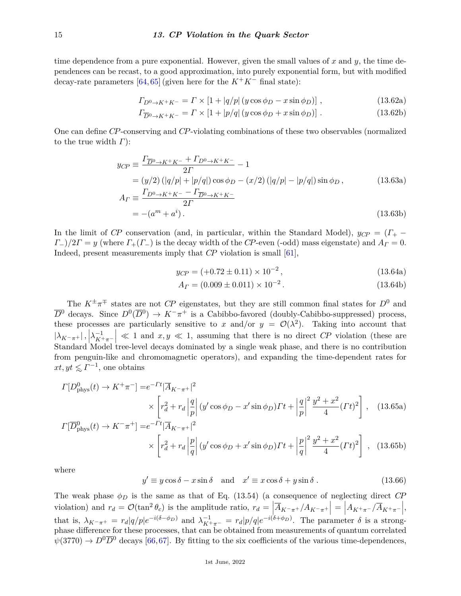time dependence from a pure exponential. However, given the small values of *x* and *y*, the time dependences can be recast, to a good approximation, into purely exponential form, but with modified decay-rate parameters [\[64,](#page-28-4) [65\]](#page-28-5) (given here for the  $K^+K^-$  final state):

$$
\Gamma_{D^0 \to K^+ K^-} = \Gamma \times \left[1 + |q/p| \left(y \cos \phi_D - x \sin \phi_D\right)\right],\tag{13.62a}
$$

$$
\Gamma_{\overline{D}^0 \to K^+ K^-} = \Gamma \times \left[1 + |p/q| \left(y \cos \phi_D + x \sin \phi_D\right)\right].\tag{13.62b}
$$

One can define *CP*-conserving and *CP*-violating combinations of these two observables (normalized to the true width *Γ*):

$$
y_{CP} \equiv \frac{\Gamma_{\overline{D}^0 \to K^+ K^-} + \Gamma_{D^0 \to K^+ K^-}}{2\Gamma} - 1
$$
  
=  $(y/2) (|q/p| + |p/q|) \cos \phi_D - (x/2) (|q/p| - |p/q|) \sin \phi_D,$  (13.63a)  

$$
A_{\Gamma} \equiv \frac{\Gamma_{D^0 \to K^+ K^-} - \Gamma_{\overline{D}^0 \to K^+ K^-}}{2\Gamma}
$$
  
=  $-(a^m + a^i).$  (13.63b)

In the limit of *CP* conservation (and, in particular, within the Standard Model),  $y_{CP} = (\Gamma_+ - \Gamma_+)/2$  $\Gamma$ <sup>−</sup>)/2*Γ* = *y* (where  $\Gamma$ <sup>+</sup>( $\Gamma$ <sup>−</sup>) is the decay width of the *CP*-even (-odd) mass eigenstate) and  $A<sub>l</sub>$  = 0. Indeed, present measurements imply that *CP* violation is small [\[61\]](#page-28-1),

$$
y_{CP} = (+0.72 \pm 0.11) \times 10^{-2}, \qquad (13.64a)
$$

$$
A_{\Gamma} = (0.009 \pm 0.011) \times 10^{-2}.
$$
 (13.64b)

The  $K^{\pm}\pi^{\mp}$  states are not *CP* eigenstates, but they are still common final states for  $D^0$  and  $\overline{D}^0$  decays. Since  $D^0(\overline{D}^0) \to K^-\pi^+$  is a Cabibbo-favored (doubly-Cabibbo-suppressed) process, these processes are particularly sensitive to *x* and/or  $y = \mathcal{O}(\lambda^2)$ . Taking into account that  $|\lambda_{K^-\pi^+}|$ ,  $\lambda_{K^+\pi^-}^{-1}$  $\leq 1$  and  $x, y \leq 1$ , assuming that there is no direct *CP* violation (these are Standard Model tree-level decays dominated by a single weak phase, and there is no contribution from penguin-like and chromomagnetic operators), and expanding the time-dependent rates for  $xt, yt \leq \Gamma^{-1}$ , one obtains

$$
\Gamma[D_{\text{phys}}^0(t) \to K^+\pi^-] = e^{-\Gamma t} |\overline{A}_{K^-\pi^+}|^2
$$
  
 
$$
\times \left[ r_d^2 + r_d \left| \frac{q}{p} \right| (y'\cos\phi_D - x'\sin\phi_D) \Gamma t + \left| \frac{q}{p} \right|^2 \frac{y^2 + x^2}{4} (\Gamma t)^2 \right], \quad (13.65a)
$$
  

$$
\Gamma[\overline{D}^0 \quad (t) \to K^-\pi^+] = e^{-\Gamma t} |\overline{A}_{K^-\pi^+}|^2
$$

$$
\Gamma[\overline{D}_{\text{phys}}^{0}(t) \to K^{-}\pi^{+}] = e^{-\Gamma t} |\overline{A}_{K^{-}\pi^{+}}|^{2}
$$
  
 
$$
\times \left[ r_{d}^{2} + r_{d} \left| \frac{p}{q} \right| (y' \cos \phi_{D} + x' \sin \phi_{D}) \Gamma t + \left| \frac{p}{q} \right|^{2} \frac{y^{2} + x^{2}}{4} (\Gamma t)^{2} \right], \quad (13.65b)
$$

where

$$
y' \equiv y\cos\delta - x\sin\delta \quad \text{and} \quad x' \equiv x\cos\delta + y\sin\delta. \tag{13.66}
$$

The weak phase  $\phi_D$  is the same as that of Eq. (13.54) (a consequence of neglecting direct *CP* violation) and  $r_d = \mathcal{O}(\tan^2 \theta_c)$  is the amplitude ratio,  $r_d = \left| \overline{A}_{K^-\pi^+}/A_{K^-\pi^+} \right| = \left| A_{K^+\pi^-}/\overline{A}_{K^+\pi^-} \right|$ , that is,  $\lambda_{K^-\pi^+} = r_d |q/p| e^{-i(\delta - \phi_D)}$  and  $\lambda_{K^+\pi^-}^{-1} = r_d |p/q| e^{-i(\delta + \phi_D)}$ . The parameter  $\delta$  is a strongphase difference for these processes, that can be obtained from measurements of quantum correlated  $\psi(3770) \rightarrow D^0\overline{D}^0$  decays [\[66,](#page-28-6)[67\]](#page-28-7). By fitting to the six coefficients of the various time-dependences,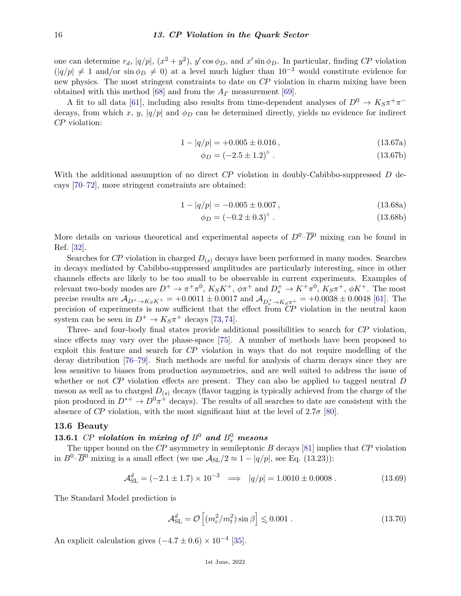one can determine  $r_d$ ,  $|q/p|$ ,  $(x^2 + y^2)$ ,  $y' \cos \phi_D$ , and  $x' \sin \phi_D$ . In particular, finding *CP* violation  $(|q/p| \neq 1$  and/or  $\sin \phi_D \neq 0$ ) at a level much higher than  $10^{-3}$  would constitute evidence for new physics. The most stringent constraints to date on *CP* violation in charm mixing have been obtained with this method [\[68\]](#page-28-8) and from the *A<sup>Γ</sup>* measurement [\[69\]](#page-28-9).

A fit to all data [\[61\]](#page-28-1), including also results from time-dependent analyses of  $D^0 \to K_S \pi^+ \pi^$ decays, from which *x*, *y*,  $|q/p|$  and  $\phi_D$  can be determined directly, yields no evidence for indirect *CP* violation:

$$
1 - |q/p| = +0.005 \pm 0.016, \qquad (13.67a)
$$

$$
\phi_D = (-2.5 \pm 1.2)^\circ \tag{13.67b}
$$

With the additional assumption of no direct *CP* violation in doubly-Cabibbo-suppressed *D* decays [\[70–](#page-28-10)[72\]](#page-28-11), more stringent constraints are obtained:

$$
1 - |q/p| = -0.005 \pm 0.007, \qquad (13.68a)
$$

$$
\phi_D = (-0.2 \pm 0.3)^\circ \tag{13.68b}
$$

More details on various theoretical and experimental aspects of  $D^0$ – $\overline{D}^0$  mixing can be found in Ref. [\[32\]](#page-27-8).

Searches for *CP* violation in charged  $D_{(s)}$  decays have been performed in many modes. Searches in decays mediated by Cabibbo-suppressed amplitudes are particularly interesting, since in other channels effects are likely to be too small to be observable in current experiments. Examples of relevant two-body modes are  $D^+ \to \pi^+\pi^0$ ,  $K_S K^+$ ,  $\phi\pi^+$  and  $D_s^+ \to K^+\pi^0$ ,  $K_S \pi^+$ ,  $\phi K^+$ . The most precise results are  $A_{D^+\to K_S K^+}$  = +0.0011 ± 0.0017 and  $A_{D_s^+\to K_S \pi^+}$  = +0.0038 ± 0.0048 [\[61\]](#page-28-1). The precision of experiments is now sufficient that the effect from *CP* violation in the neutral kaon system can be seen in  $D^+ \to K_S \pi^+$  decays [\[73,](#page-28-12) [74\]](#page-28-13).

Three- and four-body final states provide additional possibilities to search for *CP* violation, since effects may vary over the phase-space [\[75\]](#page-28-14). A number of methods have been proposed to exploit this feature and search for *CP* violation in ways that do not require modelling of the decay distribution [\[76](#page-28-15)[–79\]](#page-28-16). Such methods are useful for analysis of charm decays since they are less sensitive to biases from production asymmetries, and are well suited to address the issue of whether or not *CP* violation effects are present. They can also be applied to tagged neutral *D* meson as well as to charged  $D_{(s)}$  decays (flavor tagging is typically achieved from the charge of the pion produced in  $D^{*+} \to D^0 \pi^+$  decays). The results of all searches to date are consistent with the absence of *CP* violation, with the most significant hint at the level of  $2.7\sigma$  [\[80\]](#page-28-17).

## **13.6 Beauty**

# **13.6.1** *CP violation in mixing of*  $B^0$  *and*  $B^0_s$  *mesons*

The upper bound on the *CP* asymmetry in semileptonic *B* decays [\[81\]](#page-28-18) implies that *CP* violation in  $B^0$ – $\overline{B}^0$  mixing is a small effect (we use  $\mathcal{A}_{SL}/2 \approx 1 - |q/p|$ , see Eq. (13.23)):

$$
\mathcal{A}_{\rm SL}^d = (-2.1 \pm 1.7) \times 10^{-3} \implies |q/p| = 1.0010 \pm 0.0008 \,. \tag{13.69}
$$

The Standard Model prediction is

$$
\mathcal{A}_{\rm SL}^d = \mathcal{O}\left[ (m_c^2/m_t^2) \sin \beta \right] \lesssim 0.001 \,. \tag{13.70}
$$

An explicit calculation gives  $(-4.7 \pm 0.6) \times 10^{-4}$  [\[35\]](#page-27-11).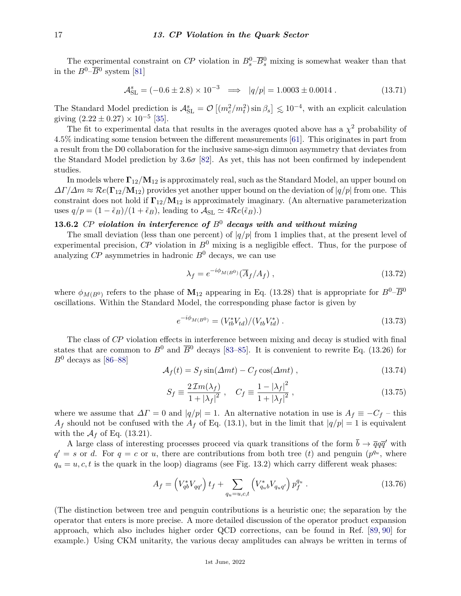The experimental constraint on  $\mathbb{C}P$  violation in  $B_s^0$  – $\overline{B}_s^0$  mixing is somewhat weaker than that in the  $B^0$ – $\overline{B}{}^0$  system [\[81\]](#page-28-18)

$$
\mathcal{A}_{\rm SL}^s = (-0.6 \pm 2.8) \times 10^{-3} \implies |q/p| = 1.0003 \pm 0.0014. \tag{13.71}
$$

The Standard Model prediction is  $\mathcal{A}_{\text{SL}}^s = \mathcal{O}\left[(m_c^2/m_t^2)\sin\beta_s\right] \lesssim 10^{-4}$ , with an explicit calculation giving  $(2.22 \pm 0.27) \times 10^{-5}$  [\[35\]](#page-27-11).

The fit to experimental data that results in the averages quoted above has a  $\chi^2$  probability of 4*.*5% indicating some tension between the different measurements [\[61\]](#page-28-1). This originates in part from a result from the D0 collaboration for the inclusive same-sign dimuon asymmetry that deviates from the Standard Model prediction by 3*.*6*σ* [\[82\]](#page-28-19). As yet, this has not been confirmed by independent studies.

In models where **Γ**12*/***M**<sup>12</sup> is approximately real, such as the Standard Model, an upper bound on *∆Γ/∆m* ≈ R*e*(**Γ**12*/***M**12) provides yet another upper bound on the deviation of |*q/p*| from one. This constraint does not hold if **Γ**12*/***M**<sup>12</sup> is approximately imaginary. (An alternative parameterization uses  $q/p = (1 - \tilde{\epsilon}_B)/(1 + \tilde{\epsilon}_B)$ , leading to  $\mathcal{A}_{SL} \simeq 4\mathcal{R}e(\tilde{\epsilon}_B)$ .)

# **13.6.2** *CP violation in interference of B*<sup>0</sup> *decays with and without mixing*

The small deviation (less than one percent) of  $|q/p|$  from 1 implies that, at the present level of experimental precision,  $\mathbb{C}P$  violation in  $\mathbb{B}^0$  mixing is a negligible effect. Thus, for the purpose of analyzing  $\mathbb{CP}$  asymmetries in hadronic  $B^0$  decays, we can use

$$
\lambda_f = e^{-i\phi_{M(B^0)}} (\overline{A}_f / A_f) , \qquad (13.72)
$$

where  $\phi_{M(B^0)}$  refers to the phase of  $M_{12}$  appearing in Eq. (13.28) that is appropriate for  $B^0$ – $\overline{B}{}^0$ oscillations. Within the Standard Model, the corresponding phase factor is given by

$$
e^{-i\phi_{M(B^0)}} = (V_{tb}^* V_{td})/(V_{tb}^* V_{td}^*)
$$
 (13.73)

The class of *CP* violation effects in interference between mixing and decay is studied with final states that are common to  $B^0$  and  $\overline{B}^0$  decays [\[83–](#page-28-20)[85\]](#page-28-21). It is convenient to rewrite Eq. (13.26) for  $B^0$  decays as [\[86–](#page-28-22)[88\]](#page-28-23)

$$
\mathcal{A}_f(t) = S_f \sin(\Delta mt) - C_f \cos(\Delta mt) , \qquad (13.74)
$$

$$
S_f \equiv \frac{2\,\mathcal{I}m(\lambda_f)}{1+|\lambda_f|^2} \;, \quad C_f \equiv \frac{1-|\lambda_f|^2}{1+|\lambda_f|^2} \;, \tag{13.75}
$$

where we assume that  $\Delta\Gamma = 0$  and  $|q/p| = 1$ . An alternative notation in use is  $A_f \equiv -C_f$  – this  $A_f$  should not be confused with the  $A_f$  of Eq. (13.1), but in the limit that  $|q/p|=1$  is equivalent with the  $\mathcal{A}_f$  of Eq. (13.21).

A large class of interesting processes proceed via quark transitions of the form  $\bar{b} \to \bar{q}q\bar{q}'$  with  $q' = s$  or *d*. For  $q = c$  or *u*, there are contributions from both tree (*t*) and penguin ( $p^{q_u}$ , where  $q_u = u, c, t$  is the quark in the loop) diagrams (see Fig. 13.2) which carry different weak phases:

$$
A_f = \left(V_{qb}^* V_{qq'}\right) t_f + \sum_{q_u = u, c, t} \left(V_{q_u b}^* V_{q_u q'}\right) p_f^{q_u} \,. \tag{13.76}
$$

(The distinction between tree and penguin contributions is a heuristic one; the separation by the operator that enters is more precise. A more detailed discussion of the operator product expansion approach, which also includes higher order QCD corrections, can be found in Ref. [\[89,](#page-28-24) [90\]](#page-28-25) for example.) Using CKM unitarity, the various decay amplitudes can always be written in terms of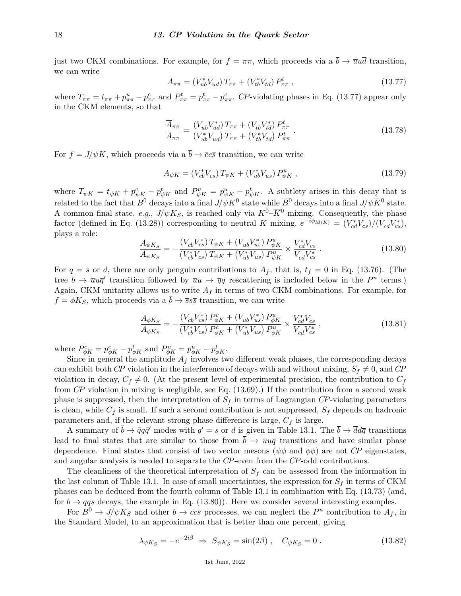just two CKM combinations. For example, for  $f = \pi \pi$ , which proceeds via a  $\bar{b} \to \bar{u}u\bar{d}$  transition, we can write

$$
A_{\pi\pi} = (V_{ub}^* V_{ud}) T_{\pi\pi} + (V_{tb}^* V_{td}) P_{\pi\pi}^t , \qquad (13.77)
$$

where  $T_{\pi\pi} = t_{\pi\pi} + p_{\pi\pi}^u - p_{\pi\pi}^c$  and  $P_{\pi\pi}^t = p_{\pi\pi}^t - p_{\pi\pi}^c$ . CP-violating phases in Eq. (13.77) appear only in the CKM elements, so that

$$
\frac{\overline{A}_{\pi\pi}}{A_{\pi\pi}} = \frac{(V_{ub}V_{ud}^*) T_{\pi\pi} + (V_{tb}V_{td}^*) P_{\pi\pi}^t}{(V_{ub}^* V_{ud}) T_{\pi\pi} + (V_{tb}^* V_{td}) P_{\pi\pi}^t} .
$$
\n(13.78)

For  $f = J/\psi K$ , which proceeds via a  $\bar{b} \to \bar{c}c\bar{s}$  transition, we can write

$$
A_{\psi K} = (V_{cb}^* V_{cs}) T_{\psi K} + (V_{ub}^* V_{us}) P_{\psi K}^u , \qquad (13.79)
$$

where  $T_{\psi K} = t_{\psi K} + p_{\psi K}^c - p_{\psi K}^t$  and  $P_{\psi K}^u = p_{\psi K}^u - p_{\psi K}^t$ . A subtlety arises in this decay that is related to the fact that  $B^0$  decays into a final  $J/\psi K^0$  state while  $\overline{B}{}^0$  decays into a final  $J/\psi \overline{K}{}^0$  state. A common final state, *e.g.*,  $J/\psi K_S$ , is reached only via  $K^0$ – $\overline{K}$ <sup>0</sup> mixing. Consequently, the phase factor (defined in Eq. (13.28)) corresponding to neutral *K* mixing,  $e^{-i\phi_{M(K)}} = (V_{cd}^* V_{cs})/(V_{cd} V_{cs}^*)$ , plays a role:

$$
\frac{\overline{A}_{\psi K_S}}{A_{\psi K_S}} = -\frac{(V_{cb} V_{cs}^*) T_{\psi K} + (V_{ub} V_{us}^*) P_{\psi K}^u}{(V_{cb}^* V_{cs}) T_{\psi K} + (V_{ub}^* V_{us}) P_{\psi K}^u} \times \frac{V_{cd}^* V_{cs}}{V_{cd} V_{cs}^*} .
$$
\n(13.80)

For  $q = s$  or *d*, there are only penguin contributions to  $A_f$ , that is,  $t_f = 0$  in Eq. (13.76). (The tree  $\bar{b} \to \bar{u}u\bar{q}'$  transition followed by  $\bar{u}u \to \bar{q}q$  rescattering is included below in the  $P^u$  terms.) Again, CKM unitarity allows us to write  $A_f$  in terms of two CKM combinations. For example, for  $f = \phi K_S$ , which proceeds via a  $\overline{b} \rightarrow \overline{s} s \overline{s}$  transition, we can write

$$
\frac{\overline{A}_{\phi K_S}}{A_{\phi K_S}} = -\frac{(V_{cb}V_{cs}^*) P_{\phi K}^c + (V_{ub}V_{us}^*) P_{\phi K}^u}{(V_{cb}^*V_{cs}) P_{\phi K}^c + (V_{ub}^*V_{us}) P_{\phi K}^u} \times \frac{V_{cd}^*V_{cs}}{V_{cd}V_{cs}^*},
$$
\n(13.81)

where  $P_{\phi K}^{c} = p_{\phi K}^{c} - p_{\phi K}^{t}$  and  $P_{\phi K}^{u} = p_{\phi K}^{u} - p_{\phi K}^{t}$ .

Since in general the amplitude  $A_f$  involves two different weak phases, the corresponding decays can exhibit both *CP* violation in the interference of decays with and without mixing,  $S_f \neq 0$ , and *CP* violation in decay,  $C_f \neq 0$ . (At the present level of experimental precision, the contribution to  $C_f$ from *CP* violation in mixing is negligible, see Eq. (13.69).) If the contribution from a second weak phase is suppressed, then the interpretation of  $S_f$  in terms of Lagrangian  $\mathbb{CP}$ -violating parameters is clean, while  $C_f$  is small. If such a second contribution is not suppressed,  $S_f$  depends on hadronic parameters and, if the relevant strong phase difference is large, *C<sup>f</sup>* is large.

A summary of  $\bar{b} \to \bar{q}q\bar{q}'$  modes with  $q' = s$  or *d* is given in Table 13.1. The  $\bar{b} \to \bar{d}d\bar{q}$  transitions lead to final states that are similar to those from  $\bar{b} \to \bar{u}u\bar{q}$  transitions and have similar phase dependence. Final states that consist of two vector mesons ( $\psi \phi$  and  $\phi \phi$ ) are not *CP* eigenstates, and angular analysis is needed to separate the *CP*-even from the *CP*-odd contributions.

The cleanliness of the theoretical interpretation of *S<sup>f</sup>* can be assessed from the information in the last column of Table 13.1. In case of small uncertainties, the expression for  $S_f$  in terms of CKM phases can be deduced from the fourth column of Table 13.1 in combination with Eq. (13.73) (and, for  $b \to q\bar{q}s$  decays, the example in Eq. (13.80)). Here we consider several interesting examples.

For  $B^0 \to J/\psi K_S$  and other  $\bar{b} \to \bar{c}c\bar{s}$  processes, we can neglect the  $P^u$  contribution to  $A_f$ , in the Standard Model, to an approximation that is better than one percent, giving

$$
\lambda_{\psi K_S} = -e^{-2i\beta} \Rightarrow S_{\psi K_S} = \sin(2\beta) , \quad C_{\psi K_S} = 0 . \tag{13.82}
$$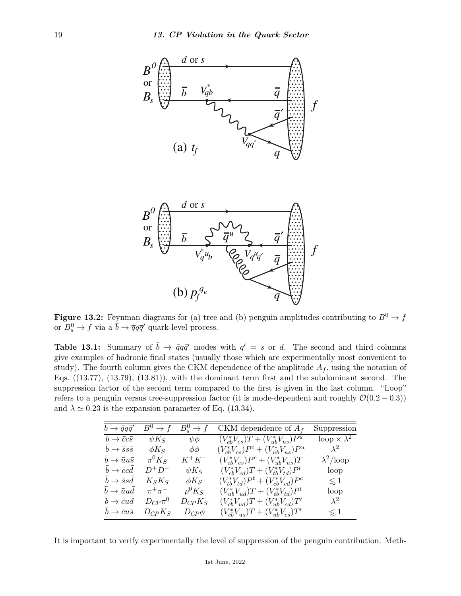

**Figure 13.2:** Feynman diagrams for (a) tree and (b) penguin amplitudes contributing to  $B^0 \to f$ or  $B_s^0 \to f$  via a  $\bar{b} \to \bar{q}q\bar{q}'$  quark-level process.

**Table 13.1:** Summary of  $\bar{b} \to \bar{q}q\bar{q}'$  modes with  $q' = s$  or *d*. The second and third columns give examples of hadronic final states (usually those which are experimentally most convenient to study). The fourth column gives the CKM dependence of the amplitude  $A_f$ , using the notation of Eqs.  $((13.77), (13.79), (13.81)),$  with the dominant term first and the subdominant second. The suppression factor of the second term compared to the first is given in the last column. "Loop" refers to a penguin versus tree-suppression factor (it is mode-dependent and roughly  $\mathcal{O}(0.2 - 0.3)$ ) and  $\lambda \simeq 0.23$  is the expansion parameter of Eq. (13.34).

| $b \to \bar{q}q\bar{q}'$        | $B^0 \to f$    | $B^0_* \to f$ | CKM dependence of $A_f$                     | Suppression             |
|---------------------------------|----------------|---------------|---------------------------------------------|-------------------------|
| $b \to \bar{c}c\bar{s}$         | $\psi K_S$     | $\psi\phi$    | $(V_{cb}^*V_{cs})T + (V_{ub}^*V_{us})P^u$   | loop $\times \lambda^2$ |
| $b \rightarrow \bar{s}s\bar{s}$ | $\phi K_S$     | $\phi\phi$    | $(V_{cb}^*V_{cs})P^c + (V_{ub}^*V_{us})P^u$ | $\lambda^2$             |
| $b \to \bar{u}u\bar{s}$         | $\pi^0 K_S$    | $K^+K^-$      | $(V_{cb}^*V_{cs})P^c + (V_{ub}^*V_{us})T$   | $\lambda^2$ /loop       |
| $b \rightarrow \bar{c}cd$       | $D^+D^-$       | $\psi K_S$    | $(V_{cb}^*V_{cd})T + (V_{tb}^*V_{td})P^t$   | loop                    |
| $b \rightarrow \bar{s} s d$     | $K_S K_S$      | $\phi K_S$    | $(V_{th}^*V_{td})P^t + (V_{ch}^*V_{cd})P^c$ | $\lesssim$ 1            |
| $b \rightarrow \bar{u}ud$       | $\pi^+\pi^-$   | $\rho^0 K_S$  | $(V_{ub}^*V_{ud})T + (V_{tb}^*V_{td})P^t$   | loop                    |
| $b \rightarrow \bar{c}ud$       | $D_{CP} \pi^0$ | $D_{CP}K_S$   | $(V_{cb}^*V_{ud})T + (V_{ub}^*V_{cd})T'$    | $\lambda^2$             |
| $b \to \bar{c}u\bar{s}$         | $D_{CP}K_S$    | $D_{CP}\phi$  | $(V_{cb}^*V_{us})T + (V_{ub}^*V_{cs})T'$    | $\lesssim 1$            |

It is important to verify experimentally the level of suppression of the penguin contribution. Meth-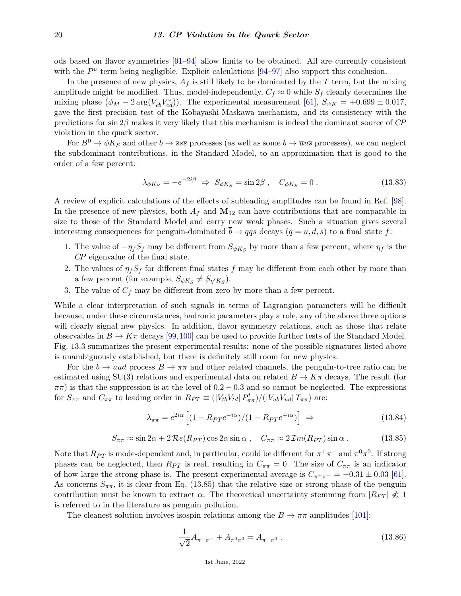ods based on flavor symmetries [\[91–](#page-28-26)[94\]](#page-28-27) allow limits to be obtained. All are currently consistent with the  $P^u$  term being negligible. Explicit calculations  $[94-97]$  $[94-97]$  also support this conclusion.

In the presence of new physics,  $A_f$  is still likely to be dominated by the  $T$  term, but the mixing amplitude might be modified. Thus, model-independently,  $C_f \approx 0$  while  $S_f$  cleanly determines the mixing phase  $(\phi_M - 2 \arg(V_{cb} V_{cd}^*))$ . The experimental measurement [\[61\]](#page-28-1),  $S_{\psi K} = +0.699 \pm 0.017$ , gave the first precision test of the Kobayashi-Maskawa mechanism, and its consistency with the predictions for sin 2*β* makes it very likely that this mechanism is indeed the dominant source of *CP* violation in the quark sector.

For  $B^0 \to \phi K_S$  and other  $\bar{b} \to \bar{s} s\bar{s}$  processes (as well as some  $\bar{b} \to \bar{u} u\bar{s}$  processes), we can neglect the subdominant contributions, in the Standard Model, to an approximation that is good to the order of a few percent:

$$
\lambda_{\phi K_S} = -e^{-2i\beta} \Rightarrow S_{\phi K_S} = \sin 2\beta \,, \quad C_{\phi K_S} = 0 \,. \tag{13.83}
$$

A review of explicit calculations of the effects of subleading amplitudes can be found in Ref. [\[98\]](#page-29-1). In the presence of new physics, both  $A_f$  and  $M_{12}$  can have contributions that are comparable in size to those of the Standard Model and carry new weak phases. Such a situation gives several interesting consequences for penguin-dominated  $\bar{b} \rightarrow \bar{q}q\bar{s}$  decays  $(q = u, d, s)$  to a final state f:

- 1. The value of  $-\eta_f S_f$  may be different from  $S_{\psi K_S}$  by more than a few percent, where  $\eta_f$  is the *CP* eigenvalue of the final state.
- 2. The values of  $\eta_f S_f$  for different final states f may be different from each other by more than a few percent (for example,  $S_{\phi K_S} \neq S_{\eta' K_S}$ ).
- 3. The value of  $C_f$  may be different from zero by more than a few percent.

While a clear interpretation of such signals in terms of Lagrangian parameters will be difficult because, under these circumstances, hadronic parameters play a role, any of the above three options will clearly signal new physics. In addition, flavor symmetry relations, such as those that relate observables in  $B \to K\pi$  decays [\[99,](#page-29-2)[100\]](#page-29-3) can be used to provide further tests of the Standard Model. Fig. 13.3 summarizes the present experimental results: none of the possible signatures listed above is unambiguously established, but there is definitely still room for new physics.

For the  $\bar{b} \to \bar{u}u\bar{d}$  process  $B \to \pi\pi$  and other related channels, the penguin-to-tree ratio can be estimated using SU(3) relations and experimental data on related  $B \to K\pi$  decays. The result (for  $\pi\pi$ ) is that the suppression is at the level of  $0.2 - 0.3$  and so cannot be neglected. The expressions for  $S_{\pi\pi}$  and  $C_{\pi\pi}$  to leading order in  $R_{PT} \equiv (|V_{tb}V_{td}| P_{\pi\pi}^t) / (|V_{ub}V_{ud}| T_{\pi\pi})$  are:

$$
\lambda_{\pi\pi} = e^{2i\alpha} \left[ (1 - R_{PT}e^{-i\alpha}) / (1 - R_{PT}e^{+i\alpha}) \right] \Rightarrow \tag{13.84}
$$

$$
S_{\pi\pi} \approx \sin 2\alpha + 2\Re (R_{PT}) \cos 2\alpha \sin \alpha , \quad C_{\pi\pi} \approx 2\Im (R_{PT}) \sin \alpha . \tag{13.85}
$$

Note that  $R_{PT}$  is mode-dependent and, in particular, could be different for  $\pi^+\pi^-$  and  $\pi^0\pi^0$ . If strong phases can be neglected, then *R<sub>PT</sub>* is real, resulting in  $C_{\pi\pi} = 0$ . The size of  $C_{\pi\pi}$  is an indicator of how large the strong phase is. The present experimental average is  $C_{\pi^+\pi^-} = -0.31 \pm 0.03$  [\[61\]](#page-28-1). As concerns  $S_{\pi\pi}$ , it is clear from Eq. (13.85) that the relative size or strong phase of the penguin contribution must be known to extract *α*. The theoretical uncertainty stemming from  $|R_{PT}| \nless 1$ is referred to in the literature as penguin pollution.

The cleanest solution involves isospin relations among the  $B \to \pi\pi$  amplitudes [\[101\]](#page-29-4):

$$
\frac{1}{\sqrt{2}}A_{\pi^+\pi^-} + A_{\pi^0\pi^0} = A_{\pi^+\pi^0} \ . \tag{13.86}
$$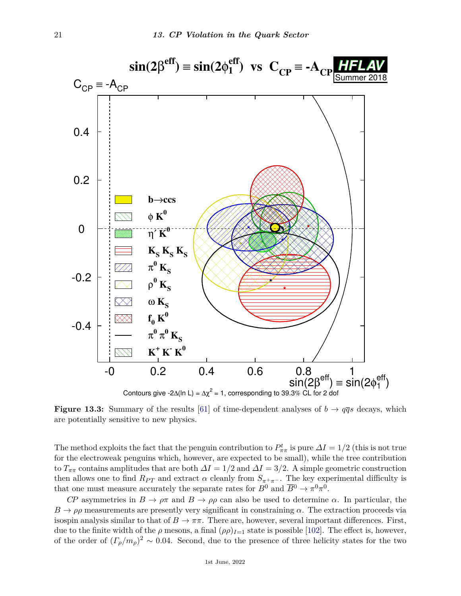

**Figure 13.3:** Summary of the results [\[61\]](#page-28-1) of time-dependent analyses of  $b \rightarrow q\bar{q}s$  decays, which are potentially sensitive to new physics.

The method exploits the fact that the penguin contribution to  $P_{\pi\pi}^t$  is pure  $\Delta I = 1/2$  (this is not true for the electroweak penguins which, however, are expected to be small), while the tree contribution to  $T_{\pi\pi}$  contains amplitudes that are both  $\Delta I = 1/2$  and  $\Delta I = 3/2$ . A simple geometric construction then allows one to find  $R_{PT}$  and extract  $\alpha$  cleanly from  $S_{\pi^+\pi^-}$ . The key experimental difficulty is that one must measure accurately the separate rates for  $B^0$  and  $\overline{B}^0 \to \pi^0 \pi^0$ .

*CP* asymmetries in  $B \to \rho \pi$  and  $B \to \rho \rho$  can also be used to determine *α*. In particular, the  $B \to \rho \rho$  measurements are presently very significant in constraining  $\alpha$ . The extraction proceeds via isospin analysis similar to that of  $B \to \pi\pi$ . There are, however, several important differences. First, due to the finite width of the  $\rho$  mesons, a final  $(\rho \rho)_{I=1}$  state is possible [\[102\]](#page-29-5). The effect is, however, of the order of  $(\Gamma_{\rho}/m_{\rho})^2 \sim 0.04$ . Second, due to the presence of three helicity states for the two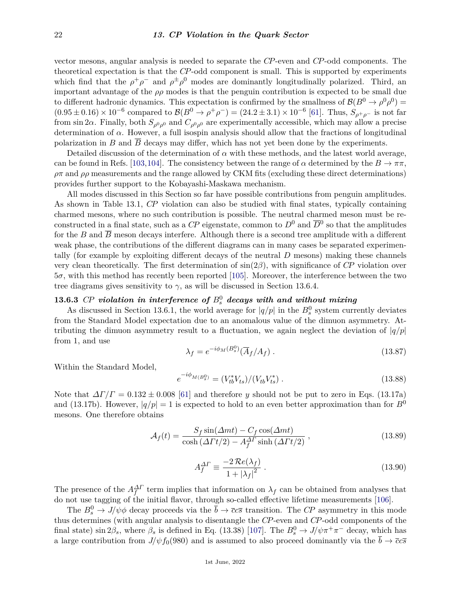vector mesons, angular analysis is needed to separate the *CP*-even and *CP*-odd components. The theoretical expectation is that the *CP*-odd component is small. This is supported by experiments which find that the  $\rho^+ \rho^-$  and  $\rho^{\pm} \rho^0$  modes are dominantly longitudinally polarized. Third, an important advantage of the  $\rho \rho$  modes is that the penguin contribution is expected to be small due to different hadronic dynamics. This expectation is confirmed by the smallness of  $\mathcal{B}(B^0 \to \rho^0 \rho^0)$  $(0.95 \pm 0.16) \times 10^{-6}$  compared to  $\mathcal{B}(B^0 \to \rho^+ \rho^-) = (24.2 \pm 3.1) \times 10^{-6}$  [\[61\]](#page-28-1). Thus,  $S_{\rho^+ \rho^-}$  is not far from sin 2 $\alpha$ . Finally, both  $S_{\rho^0\rho^0}$  and  $C_{\rho^0\rho^0}$  are experimentally accessible, which may allow a precise determination of  $\alpha$ . However, a full isospin analysis should allow that the fractions of longitudinal polarization in *B* and *B* decays may differ, which has not yet been done by the experiments.

Detailed discussion of the determination of  $\alpha$  with these methods, and the latest world average, can be found in Refs. [\[103,](#page-29-6)[104\]](#page-29-7). The consistency between the range of  $\alpha$  determined by the  $B \to \pi\pi$ ,  $\rho\pi$  and  $\rho\rho$  measurements and the range allowed by CKM fits (excluding these direct determinations) provides further support to the Kobayashi-Maskawa mechanism.

All modes discussed in this Section so far have possible contributions from penguin amplitudes. As shown in Table 13.1, *CP* violation can also be studied with final states, typically containing charmed mesons, where no such contribution is possible. The neutral charmed meson must be reconstructed in a final state, such as a  $\mathbb{CP}$  eigenstate, common to  $D^0$  and  $\overline{D}{}^0$  so that the amplitudes for the *B* and  $\overline{B}$  meson decays interfere. Although there is a second tree amplitude with a different weak phase, the contributions of the different diagrams can in many cases be separated experimentally (for example by exploiting different decays of the neutral *D* mesons) making these channels very clean theoretically. The first determination of sin(2*β*), with significance of *CP* violation over 5*σ*, with this method has recently been reported [\[105\]](#page-29-8). Moreover, the interference between the two tree diagrams gives sensitivity to  $\gamma$ , as will be discussed in Section 13.6.4.

# $\bf 13.6.3$  *CP* violation in interference of  $B^0_s$  decays with and without mixing

As discussed in Section 13.6.1, the world average for  $|q/p|$  in the  $B_s^0$  system currently deviates from the Standard Model expectation due to an anomalous value of the dimuon asymmetry. Attributing the dimuon asymmetry result to a fluctuation, we again neglect the deviation of  $|q/p|$ from 1, and use

$$
\lambda_f = e^{-i\phi_M(B_s^0)} (\overline{A}_f / A_f) \tag{13.87}
$$

Within the Standard Model,

$$
e^{-i\phi_{M(B_s^0)}} = (V_{tb}^* V_{ts})/(V_{tb}^* V_{ts}^*)
$$
 (13.88)

Note that  $\Delta\Gamma/\Gamma = 0.132 \pm 0.008$  [\[61\]](#page-28-1) and therefore *y* should not be put to zero in Eqs. (13.17a) and (13.17b). However,  $|q/p|=1$  is expected to hold to an even better approximation than for  $B^0$ mesons. One therefore obtains

$$
\mathcal{A}_f(t) = \frac{S_f \sin(\Delta mt) - C_f \cos(\Delta mt)}{\cosh(\Delta \Gamma t/2) - A_f^{\Delta \Gamma} \sinh(\Delta \Gamma t/2)},
$$
\n(13.89)

$$
A_f^{\Delta \Gamma} \equiv \frac{-2\,\mathcal{R}e(\lambda_f)}{1 + |\lambda_f|^2} \,. \tag{13.90}
$$

The presence of the  $A_f^{\Delta \Gamma}$  term implies that information on  $\lambda_f$  can be obtained from analyses that do not use tagging of the initial flavor, through so-called effective lifetime measurements [\[106\]](#page-29-9).

The  $B_s^0 \to J/\psi \phi$  decay proceeds via the  $\bar{b} \to \bar{c}c\bar{s}$  transition. The *CP* asymmetry in this mode thus determines (with angular analysis to disentangle the *CP*-even and *CP*-odd components of the final state) sin  $2\beta_s$ , where  $\beta_s$  is defined in Eq. (13.38) [\[107\]](#page-29-10). The  $B_s^0 \to J/\psi \pi^+ \pi^-$  decay, which has a large contribution from  $J/\psi f_0(980)$  and is assumed to also proceed dominantly via the  $\bar{b} \to \bar{c}c\bar{s}$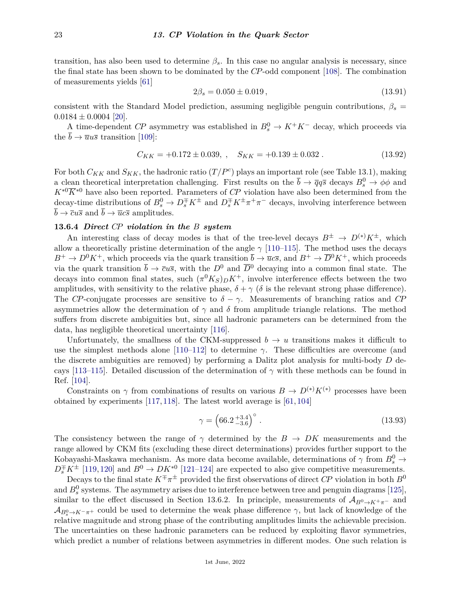transition, has also been used to determine  $\beta_s$ . In this case no angular analysis is necessary, since the final state has been shown to be dominated by the *CP*-odd component [\[108\]](#page-29-11). The combination of measurements yields [\[61\]](#page-28-1)

$$
2\beta_s = 0.050 \pm 0.019\,,\tag{13.91}
$$

consistent with the Standard Model prediction, assuming negligible penguin contributions,  $\beta_s$  =  $0.0184 \pm 0.0004$  [\[20\]](#page-26-17).

A time-dependent *CP* asymmetry was established in  $B_s^0 \to K^+K^-$  decay, which proceeds via the  $\bar{b} \rightarrow \bar{u}u\bar{s}$  transition [\[109\]](#page-29-12):

$$
C_{KK} = +0.172 \pm 0.039, \quad S_{KK} = +0.139 \pm 0.032 \,. \tag{13.92}
$$

For both  $C_{KK}$  and  $S_{KK}$ , the hadronic ratio  $(T/P^c)$  plays an important role (see Table 13.1), making a clean theoretical interpretation challenging. First results on the  $\bar{b} \to \bar{q}q\bar{s}$  decays  $B_s^0 \to \phi\phi$  and  $K^{*0} \overline{K}^{*0}$  have also been reported. Parameters of *CP* violation have also been determined from the decay-time distributions of  $B_s^0 \to D_s^{\mp} K^{\pm}$  and  $D_s^{\mp} K^{\pm} \pi^+ \pi^-$  decays, involving interference between  $\overline{b} \rightarrow \overline{c}u\overline{s}$  and  $\overline{b} \rightarrow \overline{u}c\overline{s}$  amplitudes.

#### **13.6.4** *Direct CP violation in the B system*

An interesting class of decay modes is that of the tree-level decays  $B^{\pm} \to D^{(*)}K^{\pm}$ , which allow a theoretically pristine determination of the angle  $\gamma$  [\[110–](#page-29-13)[115\]](#page-29-14). The method uses the decays  $B^+ \to D^0 K^+$ , which proceeds via the quark transition  $\bar{b} \to \bar{u}c\bar{s}$ , and  $B^+ \to \bar{D}^0 K^+$ , which proceeds via the quark transition  $\bar{b} \to \bar{c}u\bar{s}$ , with the  $D^0$  and  $\bar{D}^0$  decaying into a common final state. The decays into common final states, such  $(\pi^0 K_S)_D K^+$ , involve interference effects between the two amplitudes, with sensitivity to the relative phase,  $\delta + \gamma$  ( $\delta$  is the relevant strong phase difference). The *CP*-conjugate processes are sensitive to  $\delta - \gamma$ . Measurements of branching ratios and *CP* asymmetries allow the determination of  $\gamma$  and  $\delta$  from amplitude triangle relations. The method suffers from discrete ambiguities but, since all hadronic parameters can be determined from the data, has negligible theoretical uncertainty [\[116\]](#page-29-15).

Unfortunately, the smallness of the CKM-suppressed  $b \to u$  transitions makes it difficult to use the simplest methods alone  $[110-112]$  $[110-112]$  to determine  $\gamma$ . These difficulties are overcome (and the discrete ambiguities are removed) by performing a Dalitz plot analysis for multi-body *D* de-cays [\[113–](#page-29-17)[115\]](#page-29-14). Detailed discussion of the determination of  $\gamma$  with these methods can be found in Ref. [\[104\]](#page-29-7).

Constraints on  $\gamma$  from combinations of results on various  $B \to D^{(*)}K^{(*)}$  processes have been obtained by experiments [\[117,](#page-29-18) [118\]](#page-29-19). The latest world average is [\[61,](#page-28-1) [104\]](#page-29-7)

$$
\gamma = \left(66.2 \, \frac{+3.4}{-3.6}\right)^{\circ} \,. \tag{13.93}
$$

The consistency between the range of  $\gamma$  determined by the  $B \to D K$  measurements and the range allowed by CKM fits (excluding these direct determinations) provides further support to the Kobayashi-Maskawa mechanism. As more data become available, determinations of  $\gamma$  from  $B^0_s \rightarrow$  $D_s^{\pm} K^{\pm}$  [\[119,](#page-29-20) [120\]](#page-29-21) and  $B^0 \to D K^{*0}$  [\[121–](#page-29-22)[124\]](#page-29-23) are expected to also give competitive measurements.

Decays to the final state  $K^{\mp} \pi^{\pm}$  provided the first observations of direct *CP* violation in both  $B^0$ and  $B_s^0$  systems. The asymmetry arises due to interference between tree and penguin diagrams [\[125\]](#page-29-24), similar to the effect discussed in Section 13.6.2. In principle, measurements of  $A_{B<sup>0</sup>\to K<sup>+</sup>\pi^-}$  and  $\mathcal{A}_{B_s^0 \to K^-\pi^+}$  could be used to determine the weak phase difference  $\gamma$ , but lack of knowledge of the relative magnitude and strong phase of the contributing amplitudes limits the achievable precision. The uncertainties on these hadronic parameters can be reduced by exploiting flavor symmetries, which predict a number of relations between asymmetries in different modes. One such relation is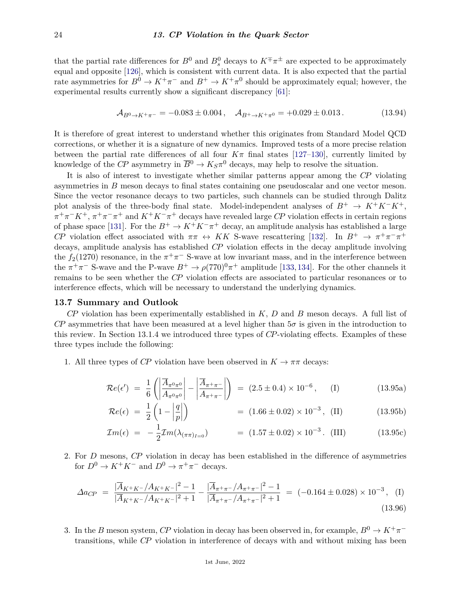that the partial rate differences for  $B^0$  and  $B^0_s$  decays to  $K^{\pm}\pi^{\pm}$  are expected to be approximately equal and opposite [\[126\]](#page-29-25), which is consistent with current data. It is also expected that the partial rate asymmetries for  $B^0 \to K^+\pi^-$  and  $B^+ \to K^+\pi^0$  should be approximately equal; however, the experimental results currently show a significant discrepancy [\[61\]](#page-28-1):

$$
\mathcal{A}_{B^0 \to K^+\pi^-} = -0.083 \pm 0.004 \,, \quad \mathcal{A}_{B^+ \to K^+\pi^0} = +0.029 \pm 0.013 \,. \tag{13.94}
$$

It is therefore of great interest to understand whether this originates from Standard Model QCD corrections, or whether it is a signature of new dynamics. Improved tests of a more precise relation between the partial rate differences of all four  $K\pi$  final states [\[127–](#page-29-26)[130\]](#page-29-27), currently limited by knowledge of the *CP* asymmetry in  $\overline{B}^0 \to K_S \pi^0$  decays, may help to resolve the situation.

It is also of interest to investigate whether similar patterns appear among the *CP* violating asymmetries in *B* meson decays to final states containing one pseudoscalar and one vector meson. Since the vector resonance decays to two particles, such channels can be studied through Dalitz plot analysis of the three-body final state. Model-independent analyses of  $B^+ \to K^+K^-K^+$ ,  $\pi^+\pi^-K^+$ ,  $\pi^+\pi^-\pi^+$  and  $K^+K^-\pi^+$  decays have revealed large *CP* violation effects in certain regions of phase space [\[131\]](#page-29-28). For the  $B^+ \to K^+K^-\pi^+$  decay, an amplitude analysis has established a large *CP* violation effect associated with  $\pi \pi \leftrightarrow KK$  S-wave rescattering [\[132\]](#page-29-29). In  $B^+ \to \pi^+ \pi^- \pi^+$ decays, amplitude analysis has established *CP* violation effects in the decay amplitude involving the  $f_2(1270)$  resonance, in the  $\pi^+\pi^-$  S-wave at low invariant mass, and in the interference between the  $\pi^+\pi^-$  S-wave and the P-wave  $B^+\to \rho(770)^0\pi^+$  amplitude [\[133,](#page-30-0)[134\]](#page-30-1). For the other channels it remains to be seen whether the *CP* violation effects are associated to particular resonances or to interference effects, which will be necessary to understand the underlying dynamics.

### **13.7 Summary and Outlook**

*CP* violation has been experimentally established in *K*, *D* and *B* meson decays. A full list of *CP* asymmetries that have been measured at a level higher than 5*σ* is given in the introduction to this review. In Section 13.1.4 we introduced three types of *CP*-violating effects. Examples of these three types include the following:

1. All three types of *CP* violation have been observed in  $K \to \pi\pi$  decays:

$$
\mathcal{R}e(\epsilon') = \frac{1}{6} \left( \left| \frac{\overline{A}_{\pi^0 \pi^0}}{A_{\pi^0 \pi^0}} \right| - \left| \frac{\overline{A}_{\pi^+ \pi^-}}{A_{\pi^+ \pi^-}} \right| \right) = (2.5 \pm 0.4) \times 10^{-6}, \quad \text{(I)} \tag{13.95a}
$$

$$
\mathcal{R}e(\epsilon) = \frac{1}{2} \left( 1 - \left| \frac{q}{p} \right| \right) \qquad (1.66 \pm 0.02) \times 10^{-3}, \text{ (II)} \qquad (13.95b)
$$

$$
\mathcal{I}m(\epsilon) = -\frac{1}{2}\mathcal{I}m(\lambda_{(\pi\pi)_{I=0}}) = (1.57 \pm 0.02) \times 10^{-3}. \quad \text{(III)} \tag{13.95c}
$$

2. For *D* mesons, *CP* violation in decay has been established in the difference of asymmetries for  $D^0 \to K^+K^-$  and  $D^0 \to \pi^+\pi^-$  decays.

$$
\Delta a_{CP} = \frac{|\overline{A}_{K^+K^-}/A_{K^+K^-}|^2 - 1}{|\overline{A}_{K^+K^-}/A_{K^+K^-}|^2 + 1} - \frac{|\overline{A}_{\pi^+\pi^-}/A_{\pi^+\pi^-}|^2 - 1}{|\overline{A}_{\pi^+\pi^-}/A_{\pi^+\pi^-}|^2 + 1} = (-0.164 \pm 0.028) \times 10^{-3}, \quad (1)
$$
\n(13.96)

3. In the *B* meson system, *CP* violation in decay has been observed in, for example,  $B^0 \to K^+\pi^$ transitions, while *CP* violation in interference of decays with and without mixing has been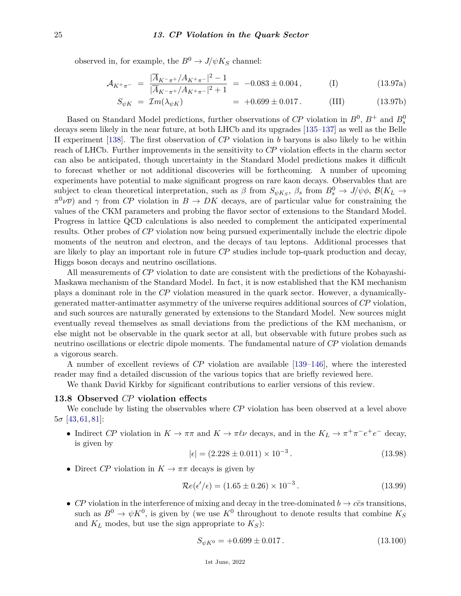observed in, for example, the  $B^0 \to J/\psi K_S$  channel:

$$
\mathcal{A}_{K^{+}\pi^{-}} = \frac{|\overline{A}_{K^{-}\pi^{+}}/A_{K^{+}\pi^{-}}|^{2} - 1}{|\overline{A}_{K^{-}\pi^{+}}/A_{K^{+}\pi^{-}}|^{2} + 1} = -0.083 \pm 0.004, \quad (I)
$$
 (13.97a)

$$
S_{\psi K} = \mathcal{I}m(\lambda_{\psi K}) = +0.699 \pm 0.017. \quad \text{(III)} \tag{13.97b}
$$

Based on Standard Model predictions, further observations of  $\mathbb{CP}$  violation in  $B^0$ ,  $B^+$  and  $B^0_s$ decays seem likely in the near future, at both LHCb and its upgrades [\[135–](#page-30-2)[137\]](#page-30-3) as well as the Belle II experiment [\[138\]](#page-30-4). The first observation of *CP* violation in *b* baryons is also likely to be within reach of LHCb. Further improvements in the sensitivity to *CP* violation effects in the charm sector can also be anticipated, though uncertainty in the Standard Model predictions makes it difficult to forecast whether or not additional discoveries will be forthcoming. A number of upcoming experiments have potential to make significant progress on rare kaon decays. Observables that are subject to clean theoretical interpretation, such as  $\beta$  from  $S_{\psi K_S}$ ,  $\beta_s$  from  $B_s^0 \to J/\psi \phi$ ,  $\mathcal{B}(K_L \to K_S^0)$  $\pi^0\nu\overline{\nu}$  and *γ* from *CP* violation in  $B \to DK$  decays, are of particular value for constraining the values of the CKM parameters and probing the flavor sector of extensions to the Standard Model. Progress in lattice QCD calculations is also needed to complement the anticipated experimental results. Other probes of *CP* violation now being pursued experimentally include the electric dipole moments of the neutron and electron, and the decays of tau leptons. Additional processes that are likely to play an important role in future *CP* studies include top-quark production and decay, Higgs boson decays and neutrino oscillations.

All measurements of *CP* violation to date are consistent with the predictions of the Kobayashi-Maskawa mechanism of the Standard Model. In fact, it is now established that the KM mechanism plays a dominant role in the *CP* violation measured in the quark sector. However, a dynamicallygenerated matter-antimatter asymmetry of the universe requires additional sources of *CP* violation, and such sources are naturally generated by extensions to the Standard Model. New sources might eventually reveal themselves as small deviations from the predictions of the KM mechanism, or else might not be observable in the quark sector at all, but observable with future probes such as neutrino oscillations or electric dipole moments. The fundamental nature of *CP* violation demands a vigorous search.

A number of excellent reviews of *CP* violation are available [\[139–](#page-30-5)[146\]](#page-30-6), where the interested reader may find a detailed discussion of the various topics that are briefly reviewed here.

We thank David Kirkby for significant contributions to earlier versions of this review.

### **13.8 Observed** *CP* **violation effects**

We conclude by listing the observables where *CP* violation has been observed at a level above  $5\sigma$  [\[43,](#page-27-19) [61,](#page-28-1) [81\]](#page-28-18):

• Indirect *CP* violation in  $K \to \pi\pi$  and  $K \to \pi\ell\nu$  decays, and in the  $K_L \to \pi^+\pi^-e^+e^-$  decay, is given by

$$
|\epsilon| = (2.228 \pm 0.011) \times 10^{-3}.
$$
\n(13.98)

• Direct *CP* violation in  $K \to \pi\pi$  decays is given by

$$
\mathcal{R}e(\epsilon'/\epsilon) = (1.65 \pm 0.26) \times 10^{-3}.
$$
 (13.99)

• *CP* violation in the interference of mixing and decay in the tree-dominated  $b \rightarrow c\bar{c}s$  transitions, such as  $B^0 \to \psi K^0$ , is given by (we use  $K^0$  throughout to denote results that combine  $K_S$ and  $K_L$  modes, but use the sign appropriate to  $K_S$ ):

$$
S_{\psi K^0} = +0.699 \pm 0.017. \tag{13.100}
$$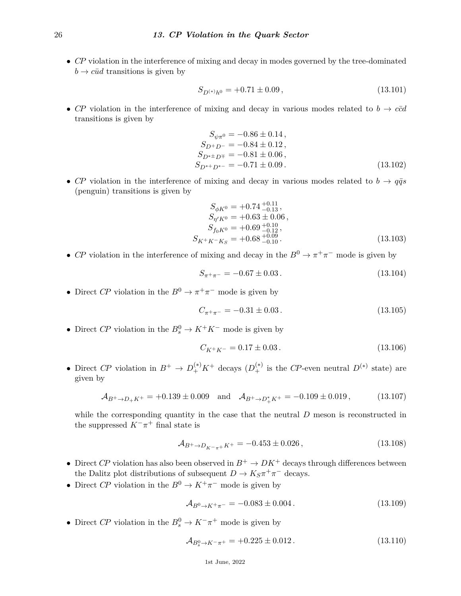• *CP* violation in the interference of mixing and decay in modes governed by the tree-dominated  $b \rightarrow c\bar{u}d$  transitions is given by

$$
S_{D^{(*)}h^0} = +0.71 \pm 0.09\,,\tag{13.101}
$$

• *CP* violation in the interference of mixing and decay in various modes related to  $b \rightarrow c\bar{c}d$ transitions is given by

$$
S_{\psi\pi^{0}} = -0.86 \pm 0.14 ,\nS_{D^{+}D^{-}} = -0.84 \pm 0.12 ,\nS_{D^{*+}D^{\mp}} = -0.81 \pm 0.06 ,\nS_{D^{*+}D^{*-}} = -0.71 \pm 0.09 .
$$
\n(13.102)

• *CP* violation in the interference of mixing and decay in various modes related to  $b \rightarrow q\bar{q}s$ (penguin) transitions is given by

$$
S_{\phi K^{0}} = +0.74^{+0.11}_{-0.13},
$$
  
\n
$$
S_{\eta' K^{0}} = +0.63 \pm 0.06,
$$
  
\n
$$
S_{f_{0} K^{0}} = +0.69^{+0.10}_{-0.12},
$$
  
\n
$$
S_{K^{+} K^{-} K_{S}} = +0.68^{+0.09}_{-0.10}.
$$
\n(13.103)

• *CP* violation in the interference of mixing and decay in the  $B^0 \to \pi^+\pi^-$  mode is given by

$$
S_{\pi^+\pi^-} = -0.67 \pm 0.03 \,. \tag{13.104}
$$

• Direct *CP* violation in the  $B^0 \to \pi^+\pi^-$  mode is given by

$$
C_{\pi^+\pi^-} = -0.31 \pm 0.03. \tag{13.105}
$$

• Direct *CP* violation in the  $B_s^0 \to K^+K^-$  mode is given by

$$
C_{K^+K^-} = 0.17 \pm 0.03. \tag{13.106}
$$

• Direct *CP* violation in  $B^+ \to D_+^{(*)}K^+$  decays  $(D_+^{(*)})$  is the *CP*-even neutral  $D^{(*)}$  state) are given by

$$
\mathcal{A}_{B^+\to D_+K^+} = +0.139 \pm 0.009 \quad \text{and} \quad \mathcal{A}_{B^+\to D_+^*K^+} = -0.109 \pm 0.019 \,, \tag{13.107}
$$

while the corresponding quantity in the case that the neutral *D* meson is reconstructed in the suppressed  $K^-\pi^+$  final state is

$$
\mathcal{A}_{B^+\to D_{K^-\pi^+}K^+} = -0.453 \pm 0.026\,,\tag{13.108}
$$

- Direct *CP* violation has also been observed in  $B^+ \to D K^+$  decays through differences between the Dalitz plot distributions of subsequent  $D \to K_S \pi^+ \pi^-$  decays.
- Direct *CP* violation in the  $B^0 \to K^+\pi^-$  mode is given by

$$
\mathcal{A}_{B^0 \to K^+ \pi^-} = -0.083 \pm 0.004. \tag{13.109}
$$

• Direct *CP* violation in the  $B_s^0 \to K^-\pi^+$  mode is given by

$$
\mathcal{A}_{B_s^0 \to K^- \pi^+} = +0.225 \pm 0.012. \tag{13.110}
$$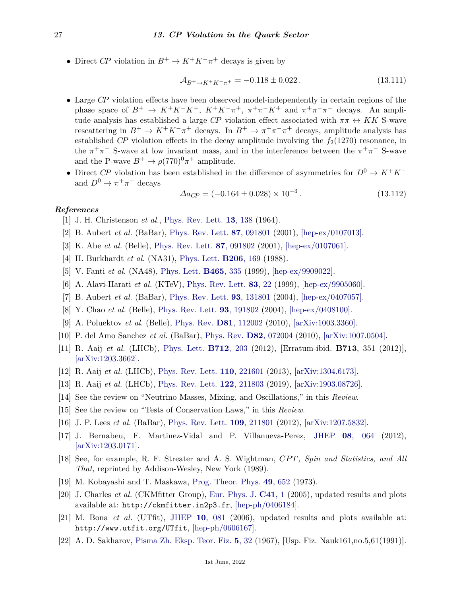• Direct *CP* violation in  $B^+ \to K^+K^-\pi^+$  decays is given by

$$
\mathcal{A}_{B^+\to K^+K^-\pi^+} = -0.118 \pm 0.022. \tag{13.111}
$$

- Large *CP* violation effects have been observed model-independently in certain regions of the phase space of  $B^+ \to K^+K^-K^+$ ,  $K^+K^-\pi^+$ ,  $\pi^+\pi^-K^+$  and  $\pi^+\pi^-\pi^+$  decays. An amplitude analysis has established a large *CP* violation effect associated with  $\pi \pi \leftrightarrow KK$  S-wave rescattering in  $B^+ \to K^+K^-\pi^+$  decays. In  $B^+ \to \pi^+\pi^-\pi^+$  decays, amplitude analysis has established *CP* violation effects in the decay amplitude involving the  $f_2(1270)$  resonance, in the  $\pi^+\pi^-$  S-wave at low invariant mass, and in the interference between the  $\pi^+\pi^-$  S-wave and the P-wave  $B^+ \to \rho (770)^0 \pi^+$  amplitude.
- Direct *CP* violation has been established in the difference of asymmetries for  $D^0 \to K^+K^$ and  $D^0 \to \pi^+\pi^-$  decays

$$
\Delta a_{CP} = (-0.164 \pm 0.028) \times 10^{-3}.
$$
\n(13.112)

### <span id="page-26-0"></span>*References*

- <span id="page-26-1"></span>[1] J. H. Christenson *et al.*, [Phys. Rev. Lett.](http://doi.org/10.1103/PhysRevLett.13.138) **13**[, 138](http://doi.org/10.1103/PhysRevLett.13.138) (1964).
- [2] B. Aubert *et al.* (BaBar), [Phys. Rev. Lett.](http://doi.org/10.1103/PhysRevLett.87.091801) **87**[, 091801](http://doi.org/10.1103/PhysRevLett.87.091801) (2001), [\[hep-ex/0107013\].](https://arxiv.org/abs/hep-ex/0107013)
- <span id="page-26-2"></span>[3] K. Abe *et al.* (Belle), [Phys. Rev. Lett.](http://doi.org/10.1103/PhysRevLett.87.091802) **87**[, 091802](http://doi.org/10.1103/PhysRevLett.87.091802) (2001), [\[hep-ex/0107061\].](https://arxiv.org/abs/hep-ex/0107061)
- <span id="page-26-3"></span>[4] H. Burkhardt *et al.* (NA31), [Phys. Lett.](http://doi.org/10.1016/0370-2693(88)91282-8) **[B206](http://doi.org/10.1016/0370-2693(88)91282-8)**, 169 (1988).
- [5] V. Fanti *et al.* (NA48), [Phys. Lett.](http://doi.org/10.1016/S0370-2693(99)01030-8) **[B465](http://doi.org/10.1016/S0370-2693(99)01030-8)**, 335 (1999), [\[hep-ex/9909022\].](https://arxiv.org/abs/hep-ex/9909022)
- <span id="page-26-4"></span>[6] A. Alavi-Harati *et al.* (KTeV), [Phys. Rev. Lett.](http://doi.org/10.1103/PhysRevLett.83.22) **83**[, 22](http://doi.org/10.1103/PhysRevLett.83.22) (1999), [\[hep-ex/9905060\].](https://arxiv.org/abs/hep-ex/9905060)
- <span id="page-26-5"></span>[7] B. Aubert *et al.* (BaBar), [Phys. Rev. Lett.](http://doi.org/10.1103/PhysRevLett.93.131801) **93**[, 131801](http://doi.org/10.1103/PhysRevLett.93.131801) (2004), [\[hep-ex/0407057\].](https://arxiv.org/abs/hep-ex/0407057)
- <span id="page-26-6"></span>[8] Y. Chao *et al.* (Belle), [Phys. Rev. Lett.](http://doi.org/10.1103/PhysRevLett.93.191802) **93**[, 191802](http://doi.org/10.1103/PhysRevLett.93.191802) (2004), [\[hep-ex/0408100\].](https://arxiv.org/abs/hep-ex/0408100)
- <span id="page-26-7"></span>[9] A. Poluektov *et al.* (Belle), [Phys. Rev.](http://doi.org/10.1103/PhysRevD.81.112002) **D81**[, 112002](http://doi.org/10.1103/PhysRevD.81.112002) (2010), [\[arXiv:1003.3360\].](https://arxiv.org/abs/1003.3360)
- [10] P. del Amo Sanchez *et al.* (BaBar), [Phys. Rev.](http://doi.org/10.1103/PhysRevD.82.072004) **D82**[, 072004](http://doi.org/10.1103/PhysRevD.82.072004) (2010), [\[arXiv:1007.0504\].](https://arxiv.org/abs/1007.0504)
- <span id="page-26-8"></span>[11] R. Aaij *et al.* (LHCb), [Phys. Lett.](http://doi.org/10.1016/j.physletb.2012.04.060) **[B712](http://doi.org/10.1016/j.physletb.2012.04.060)**, 203 (2012), [Erratum-ibid. **B713**, 351 (2012)], [\[arXiv:1203.3662\].](https://arxiv.org/abs/1203.3662)
- <span id="page-26-9"></span>[12] R. Aaij *et al.* (LHCb), [Phys. Rev. Lett.](http://doi.org/10.1103/PhysRevLett.110.221601) **110**[, 221601](http://doi.org/10.1103/PhysRevLett.110.221601) (2013), [\[arXiv:1304.6173\].](https://arxiv.org/abs/1304.6173)
- <span id="page-26-10"></span>[13] R. Aaij *et al.* (LHCb), [Phys. Rev. Lett.](http://doi.org/10.1103/PhysRevLett.122.211803) **122**[, 211803](http://doi.org/10.1103/PhysRevLett.122.211803) (2019), [\[arXiv:1903.08726\].](https://arxiv.org/abs/1903.08726)
- <span id="page-26-11"></span>[14] See the review on "Neutrino Masses, Mixing, and Oscillations," in this *Review*.
- <span id="page-26-12"></span>[15] See the review on "Tests of Conservation Laws," in this *Review*.
- <span id="page-26-13"></span>[16] J. P. Lees *et al.* (BaBar), [Phys. Rev. Lett.](http://doi.org/10.1103/PhysRevLett.109.211801) **109**[, 211801](http://doi.org/10.1103/PhysRevLett.109.211801) (2012), [\[arXiv:1207.5832\].](https://arxiv.org/abs/1207.5832)
- <span id="page-26-14"></span>[17] J. Bernabeu, F. Martinez-Vidal and P. Villanueva-Perez, [JHEP](http://doi.org/10.1007/JHEP08(2012)064) **08**[, 064](http://doi.org/10.1007/JHEP08(2012)064) (2012), [\[arXiv:1203.0171\].](https://arxiv.org/abs/1203.0171)
- <span id="page-26-15"></span>[18] See, for example, R. F. Streater and A. S. Wightman, *CP T, Spin and Statistics, and All That,* reprinted by Addison-Wesley, New York (1989).
- <span id="page-26-16"></span>[19] M. Kobayashi and T. Maskawa, [Prog. Theor. Phys.](http://doi.org/10.1143/PTP.49.652) **49**[, 652](http://doi.org/10.1143/PTP.49.652) (1973).
- <span id="page-26-17"></span>[20] J. Charles *et al.* (CKMfitter Group), [Eur. Phys. J.](http://doi.org/10.1140/epjc/s2005-02169-1) **[C41](http://doi.org/10.1140/epjc/s2005-02169-1)**, 1 (2005), updated results and plots available at: http://ckmfitter.in2p3.fr, [\[hep-ph/0406184\].](https://arxiv.org/abs/hep-ph/0406184)
- <span id="page-26-18"></span>[21] M. Bona *et al.* (UTfit), [JHEP](http://doi.org/10.1088/1126-6708/2006/10/081) **10**[, 081](http://doi.org/10.1088/1126-6708/2006/10/081) (2006), updated results and plots available at: http://www.utfit.org/UTfit, [\[hep-ph/0606167\].](https://arxiv.org/abs/hep-ph/0606167)
- <span id="page-26-19"></span>[22] A. D. Sakharov, [Pisma Zh. Eksp. Teor. Fiz.](http://doi.org/10.1070/PU1991v034n05ABEH002497) **5**[, 32](http://doi.org/10.1070/PU1991v034n05ABEH002497) (1967), [Usp. Fiz. Nauk161,no.5,61(1991)].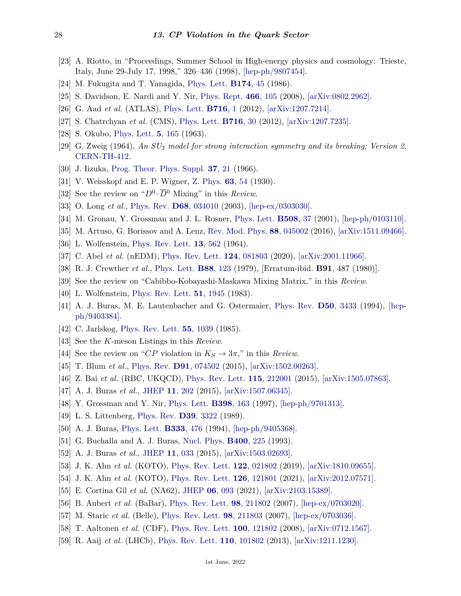- <span id="page-27-0"></span>[23] A. Riotto, in "Proceedings, Summer School in High-energy physics and cosmology: Trieste, Italy, June 29-July 17, 1998," 326–436 (1998), [\[hep-ph/9807454\].](https://arxiv.org/abs/hep-ph/9807454)
- <span id="page-27-1"></span>[24] M. Fukugita and T. Yanagida, [Phys. Lett.](http://doi.org/10.1016/0370-2693(86)91126-3) **[B174](http://doi.org/10.1016/0370-2693(86)91126-3)**, 45 (1986).
- <span id="page-27-3"></span><span id="page-27-2"></span>[25] S. Davidson, E. Nardi and Y. Nir, [Phys. Rept.](http://doi.org/10.1016/j.physrep.2008.06.002) **466**[, 105](http://doi.org/10.1016/j.physrep.2008.06.002) (2008), [\[arXiv:0802.2962\].](https://arxiv.org/abs/0802.2962)
- [26] G. Aad *et al.* (ATLAS), [Phys. Lett.](http://doi.org/10.1016/j.physletb.2012.08.020) **[B716](http://doi.org/10.1016/j.physletb.2012.08.020)**, 1 (2012), [\[arXiv:1207.7214\].](https://arxiv.org/abs/1207.7214)
- <span id="page-27-4"></span>[27] S. Chatrchyan *et al.* (CMS), [Phys. Lett.](http://doi.org/10.1016/j.physletb.2012.08.021) **[B716](http://doi.org/10.1016/j.physletb.2012.08.021)**, 30 (2012), [\[arXiv:1207.7235\].](https://arxiv.org/abs/1207.7235)
- <span id="page-27-5"></span>[28] S. Okubo, [Phys. Lett.](http://doi.org/10.1016/S0375-9601(63)92548-9) **5**[, 165](http://doi.org/10.1016/S0375-9601(63)92548-9) (1963).
- [29] G. Zweig (1964), *An SU*<sup>3</sup> *model for strong interaction symmetry and its breaking; Version 2*, [CERN-TH-412.](https://cds.cern.ch/record/570209)
- <span id="page-27-6"></span>[30] J. Iizuka, [Prog. Theor. Phys. Suppl.](http://doi.org/10.1143/PTPS.37.21) **37**[, 21](http://doi.org/10.1143/PTPS.37.21) (1966).
- <span id="page-27-7"></span>[31] V. Weisskopf and E. P. Wigner, [Z. Phys.](http://doi.org/10.1007/BF01336768) **63**[, 54](http://doi.org/10.1007/BF01336768) (1930).
- <span id="page-27-8"></span>[32] See the review on " $D^0$ – $\overline{D}{}^0$  Mixing" in this *Review*.
- <span id="page-27-9"></span>[33] O. Long *et al.*, [Phys. Rev.](http://doi.org/10.1103/PhysRevD.68.034010) **D68**[, 034010](http://doi.org/10.1103/PhysRevD.68.034010) (2003), [\[hep-ex/0303030\].](https://arxiv.org/abs/hep-ex/0303030)
- <span id="page-27-10"></span>[34] M. Gronau, Y. Grossman and J. L. Rosner, [Phys. Lett.](http://doi.org/10.1016/S0370-2693(01)00426-9) **[B508](http://doi.org/10.1016/S0370-2693(01)00426-9)**, 37 (2001), [\[hep-ph/0103110\].](https://arxiv.org/abs/hep-ph/0103110)
- <span id="page-27-11"></span>[35] M. Artuso, G. Borissov and A. Lenz, [Rev. Mod. Phys.](http://doi.org/10.1103/RevModPhys.88.045002) **88**[, 045002](http://doi.org/10.1103/RevModPhys.88.045002) (2016), [\[arXiv:1511.09466\].](https://arxiv.org/abs/1511.09466)
- <span id="page-27-12"></span>[36] L. Wolfenstein, [Phys. Rev. Lett.](http://doi.org/10.1103/PhysRevLett.13.562) **13**[, 562](http://doi.org/10.1103/PhysRevLett.13.562) (1964).
- <span id="page-27-13"></span>[37] C. Abel *et al.* (nEDM), [Phys. Rev. Lett.](http://doi.org/10.1103/PhysRevLett.124.081803) **124**[, 081803](http://doi.org/10.1103/PhysRevLett.124.081803) (2020), [\[arXiv:2001.11966\].](https://arxiv.org/abs/2001.11966)
- <span id="page-27-14"></span>[38] R. J. Crewther *et al.*, [Phys. Lett.](http://doi.org/10.1016/0370-2693(79)90128-X) **B88**[, 123](http://doi.org/10.1016/0370-2693(79)90128-X) (1979), [Erratum-ibid. **B91**, 487 (1980)].
- <span id="page-27-16"></span><span id="page-27-15"></span>[39] See the review on "Cabibbo-Kobayashi-Maskawa Mixing Matrix," in this *Review*.
- [40] L. Wolfenstein, [Phys. Rev. Lett.](http://doi.org/10.1103/PhysRevLett.51.1945) **51**[, 1945](http://doi.org/10.1103/PhysRevLett.51.1945) (1983).
- <span id="page-27-17"></span>[41] A. J. Buras, M. E. Lautenbacher and G. Ostermaier, [Phys. Rev.](http://doi.org/10.1103/PhysRevD.50.3433) **D50**[, 3433](http://doi.org/10.1103/PhysRevD.50.3433) (1994), [\[hep](https://arxiv.org/abs/hep-ph/9403384)[ph/9403384\].](https://arxiv.org/abs/hep-ph/9403384)
- <span id="page-27-18"></span>[42] C. Jarlskog, [Phys. Rev. Lett.](http://doi.org/10.1103/PhysRevLett.55.1039) **55**[, 1039](http://doi.org/10.1103/PhysRevLett.55.1039) (1985).
- <span id="page-27-19"></span>[43] See the *K*-meson Listings in this *Review*.
- <span id="page-27-20"></span>[44] See the review on "*CP* violation in  $K_S \to 3\pi$ ," in this *Review*.
- <span id="page-27-21"></span>[45] T. Blum *et al.*, [Phys. Rev.](http://doi.org/10.1103/PhysRevD.91.074502) **D91**[, 074502](http://doi.org/10.1103/PhysRevD.91.074502) (2015), [\[arXiv:1502.00263\].](https://arxiv.org/abs/1502.00263)
- <span id="page-27-22"></span>[46] Z. Bai *et al.* (RBC, UKQCD), [Phys. Rev. Lett.](http://doi.org/10.1103/PhysRevLett.115.212001) **115**[, 212001](http://doi.org/10.1103/PhysRevLett.115.212001) (2015), [\[arXiv:1505.07863\].](https://arxiv.org/abs/1505.07863)
- <span id="page-27-23"></span>[47] A. J. Buras *et al.*, [JHEP](http://doi.org/10.1007/JHEP11(2015)202) **11**[, 202](http://doi.org/10.1007/JHEP11(2015)202) (2015), [\[arXiv:1507.06345\].](https://arxiv.org/abs/1507.06345)
- <span id="page-27-24"></span>[48] Y. Grossman and Y. Nir, [Phys. Lett.](http://doi.org/10.1016/S0370-2693(97)00210-4) **[B398](http://doi.org/10.1016/S0370-2693(97)00210-4)**, 163 (1997), [\[hep-ph/9701313\].](https://arxiv.org/abs/hep-ph/9701313)
- <span id="page-27-25"></span>[49] L. S. Littenberg, [Phys. Rev.](http://doi.org/10.1103/PhysRevD.39.3322) **D39**[, 3322](http://doi.org/10.1103/PhysRevD.39.3322) (1989).
- <span id="page-27-26"></span>[50] A. J. Buras, [Phys. Lett.](http://doi.org/10.1016/0370-2693(94)90171-6) **[B333](http://doi.org/10.1016/0370-2693(94)90171-6)**, 476 (1994), [\[hep-ph/9405368\].](https://arxiv.org/abs/hep-ph/9405368)
- <span id="page-27-27"></span>[51] G. Buchalla and A. J. Buras, [Nucl. Phys.](http://doi.org/10.1016/0550-3213(93)90405-E) **[B400](http://doi.org/10.1016/0550-3213(93)90405-E)**, 225 (1993).
- <span id="page-27-28"></span>[52] A. J. Buras *et al.*, [JHEP](http://doi.org/10.1007/JHEP11(2015)033) **11**[, 033](http://doi.org/10.1007/JHEP11(2015)033) (2015), [\[arXiv:1503.02693\].](https://arxiv.org/abs/1503.02693)
- <span id="page-27-29"></span>[53] J. K. Ahn *et al.* (KOTO), [Phys. Rev. Lett.](http://doi.org/10.1103/PhysRevLett.122.021802) **122**[, 021802](http://doi.org/10.1103/PhysRevLett.122.021802) (2019), [\[arXiv:1810.09655\].](https://arxiv.org/abs/1810.09655)
- <span id="page-27-31"></span><span id="page-27-30"></span>[54] J. K. Ahn *et al.* (KOTO), [Phys. Rev. Lett.](http://doi.org/10.1103/PhysRevLett.126.121801) **126**[, 121801](http://doi.org/10.1103/PhysRevLett.126.121801) (2021), [\[arXiv:2012.07571\].](https://arxiv.org/abs/2012.07571)
- [55] E. Cortina Gil *et al.* (NA62), [JHEP](http://doi.org/10.1007/JHEP06(2021)093) **06**[, 093](http://doi.org/10.1007/JHEP06(2021)093) (2021), [\[arXiv:2103.15389\].](https://arxiv.org/abs/2103.15389)
- <span id="page-27-32"></span>[56] B. Aubert *et al.* (BaBar), [Phys. Rev. Lett.](http://doi.org/10.1103/PhysRevLett.98.211802) **98**[, 211802](http://doi.org/10.1103/PhysRevLett.98.211802) (2007), [\[hep-ex/0703020\].](https://arxiv.org/abs/hep-ex/0703020)
- [57] M. Staric *et al.* (Belle), [Phys. Rev. Lett.](http://doi.org/10.1103/PhysRevLett.98.211803) **98**[, 211803](http://doi.org/10.1103/PhysRevLett.98.211803) (2007), [\[hep-ex/0703036\].](https://arxiv.org/abs/hep-ex/0703036)
- [58] T. Aaltonen *et al.* (CDF), [Phys. Rev. Lett.](http://doi.org/10.1103/PhysRevLett.100.121802) **100**[, 121802](http://doi.org/10.1103/PhysRevLett.100.121802) (2008), [\[arXiv:0712.1567\].](https://arxiv.org/abs/0712.1567)
- [59] R. Aaij *et al.* (LHCb), [Phys. Rev. Lett.](http://doi.org/10.1103/PhysRevLett.110.101802) **110**[, 101802](http://doi.org/10.1103/PhysRevLett.110.101802) (2013), [\[arXiv:1211.1230\].](https://arxiv.org/abs/1211.1230)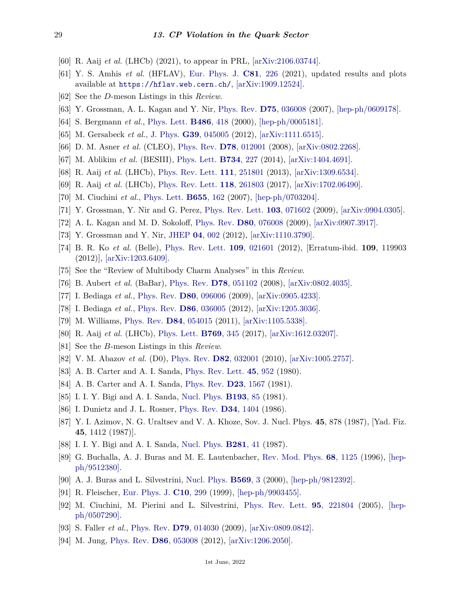- <span id="page-28-0"></span>[60] R. Aaij *et al.* (LHCb) (2021), to appear in PRL, [\[arXiv:2106.03744\].](https://arxiv.org/abs/2106.03744)
- <span id="page-28-1"></span>[61] Y. S. Amhis *et al.* (HFLAV), [Eur. Phys. J.](http://doi.org/10.1140/epjc/s10052-020-8156-7) **C81**[, 226](http://doi.org/10.1140/epjc/s10052-020-8156-7) (2021), updated results and plots available at <https://hflav.web.cern.ch/>, [\[arXiv:1909.12524\].](https://arxiv.org/abs/1909.12524)
- <span id="page-28-3"></span><span id="page-28-2"></span>[62] See the *D*-meson Listings in this *Review*.
- [63] Y. Grossman, A. L. Kagan and Y. Nir, [Phys. Rev.](http://doi.org/10.1103/PhysRevD.75.036008) **D75**[, 036008](http://doi.org/10.1103/PhysRevD.75.036008) (2007), [\[hep-ph/0609178\].](https://arxiv.org/abs/hep-ph/0609178)
- <span id="page-28-4"></span>[64] S. Bergmann *et al.*, [Phys. Lett.](http://doi.org/10.1016/S0370-2693(00)00772-3) **[B486](http://doi.org/10.1016/S0370-2693(00)00772-3)**, 418 (2000), [\[hep-ph/0005181\].](https://arxiv.org/abs/hep-ph/0005181)
- <span id="page-28-5"></span>[65] M. Gersabeck *et al.*, [J. Phys.](http://doi.org/10.1088/0954-3899/39/4/045005) **G39**[, 045005](http://doi.org/10.1088/0954-3899/39/4/045005) (2012), [\[arXiv:1111.6515\].](https://arxiv.org/abs/1111.6515)
- <span id="page-28-7"></span><span id="page-28-6"></span>[66] D. M. Asner *et al.* (CLEO), [Phys. Rev.](http://doi.org/10.1103/PhysRevD.78.012001) **D78**[, 012001](http://doi.org/10.1103/PhysRevD.78.012001) (2008), [\[arXiv:0802.2268\].](https://arxiv.org/abs/0802.2268)
- [67] M. Ablikim *et al.* (BESIII), [Phys. Lett.](http://doi.org/10.1016/j.physletb.2014.05.071) **[B734](http://doi.org/10.1016/j.physletb.2014.05.071)**, 227 (2014), [\[arXiv:1404.4691\].](https://arxiv.org/abs/1404.4691)
- <span id="page-28-8"></span>[68] R. Aaij *et al.* (LHCb), [Phys. Rev. Lett.](http://doi.org/10.1103/PhysRevLett.111.251801) **111**[, 251801](http://doi.org/10.1103/PhysRevLett.111.251801) (2013), [\[arXiv:1309.6534\].](https://arxiv.org/abs/1309.6534)
- <span id="page-28-9"></span>[69] R. Aaij *et al.* (LHCb), [Phys. Rev. Lett.](http://doi.org/10.1103/PhysRevLett.118.261803) **118**[, 261803](http://doi.org/10.1103/PhysRevLett.118.261803) (2017), [\[arXiv:1702.06490\].](https://arxiv.org/abs/1702.06490)
- <span id="page-28-10"></span>[70] M. Ciuchini *et al.*, [Phys. Lett.](http://doi.org/10.1016/j.physletb.2007.08.055) **[B655](http://doi.org/10.1016/j.physletb.2007.08.055)**, 162 (2007), [\[hep-ph/0703204\].](https://arxiv.org/abs/hep-ph/0703204)
- [71] Y. Grossman, Y. Nir and G. Perez, [Phys. Rev. Lett.](http://doi.org/10.1103/PhysRevLett.103.071602) **103**[, 071602](http://doi.org/10.1103/PhysRevLett.103.071602) (2009), [\[arXiv:0904.0305\].](https://arxiv.org/abs/0904.0305)
- <span id="page-28-11"></span>[72] A. L. Kagan and M. D. Sokoloff, [Phys. Rev.](http://doi.org/10.1103/PhysRevD.80.076008) **D80**[, 076008](http://doi.org/10.1103/PhysRevD.80.076008) (2009), [\[arXiv:0907.3917\].](https://arxiv.org/abs/0907.3917)
- <span id="page-28-12"></span>[73] Y. Grossman and Y. Nir, [JHEP](http://doi.org/10.1007/JHEP04(2012)002) **04**[, 002](http://doi.org/10.1007/JHEP04(2012)002) (2012), [\[arXiv:1110.3790\].](https://arxiv.org/abs/1110.3790)
- <span id="page-28-13"></span>[74] B. R. Ko *et al.* (Belle), [Phys. Rev. Lett.](http://doi.org/10.1103/PhysRevLett.109.021601) **109**[, 021601](http://doi.org/10.1103/PhysRevLett.109.021601) (2012), [Erratum-ibid. **109**, 119903 (2012)], [\[arXiv:1203.6409\].](https://arxiv.org/abs/1203.6409)
- <span id="page-28-14"></span>[75] See the "Review of Multibody Charm Analyses" in this *Review*.
- <span id="page-28-15"></span>[76] B. Aubert *et al.* (BaBar), [Phys. Rev.](http://doi.org/10.1103/PhysRevD.78.051102) **D78**[, 051102](http://doi.org/10.1103/PhysRevD.78.051102) (2008), [\[arXiv:0802.4035\].](https://arxiv.org/abs/0802.4035)
- [77] I. Bediaga *et al.*, [Phys. Rev.](http://doi.org/10.1103/PhysRevD.80.096006) **D80**[, 096006](http://doi.org/10.1103/PhysRevD.80.096006) (2009), [\[arXiv:0905.4233\].](https://arxiv.org/abs/0905.4233)
- [78] I. Bediaga *et al.*, [Phys. Rev.](http://doi.org/10.1103/PhysRevD.86.036005) **D86**[, 036005](http://doi.org/10.1103/PhysRevD.86.036005) (2012), [\[arXiv:1205.3036\].](https://arxiv.org/abs/1205.3036)
- <span id="page-28-16"></span>[79] M. Williams, [Phys. Rev.](http://doi.org/10.1103/PhysRevD.84.054015) **D84**[, 054015](http://doi.org/10.1103/PhysRevD.84.054015) (2011), [\[arXiv:1105.5338\].](https://arxiv.org/abs/1105.5338)
- <span id="page-28-17"></span>[80] R. Aaij *et al.* (LHCb), [Phys. Lett.](http://doi.org/10.1016/j.physletb.2017.03.062) **[B769](http://doi.org/10.1016/j.physletb.2017.03.062)**, 345 (2017), [\[arXiv:1612.03207\].](https://arxiv.org/abs/1612.03207)
- <span id="page-28-18"></span>[81] See the *B*-meson Listings in this *Review*.
- <span id="page-28-19"></span>[82] V. M. Abazov *et al.* (D0), [Phys. Rev.](http://doi.org/10.1103/PhysRevD.82.032001) **D82**[, 032001](http://doi.org/10.1103/PhysRevD.82.032001) (2010), [\[arXiv:1005.2757\].](https://arxiv.org/abs/1005.2757)
- <span id="page-28-20"></span>[83] A. B. Carter and A. I. Sanda, [Phys. Rev. Lett.](http://doi.org/10.1103/PhysRevLett.45.952) **45**[, 952](http://doi.org/10.1103/PhysRevLett.45.952) (1980).
- [84] A. B. Carter and A. I. Sanda, [Phys. Rev.](http://doi.org/10.1103/PhysRevD.23.1567) **D23**[, 1567](http://doi.org/10.1103/PhysRevD.23.1567) (1981).
- <span id="page-28-21"></span>[85] I. I. Y. Bigi and A. I. Sanda, [Nucl. Phys.](http://doi.org/10.1016/0550-3213(81)90519-8) **[B193](http://doi.org/10.1016/0550-3213(81)90519-8)**, 85 (1981).
- <span id="page-28-22"></span>[86] I. Dunietz and J. L. Rosner, [Phys. Rev.](http://doi.org/10.1103/PhysRevD.34.1404) **D34**[, 1404](http://doi.org/10.1103/PhysRevD.34.1404) (1986).
- [87] Y. I. Azimov, N. G. Uraltsev and V. A. Khoze, Sov. J. Nucl. Phys. **45**, 878 (1987), [Yad. Fiz. **45**, 1412 (1987)].
- <span id="page-28-23"></span>[88] I. I. Y. Bigi and A. I. Sanda, [Nucl. Phys.](http://doi.org/10.1016/0550-3213(87)90246-X) **[B281](http://doi.org/10.1016/0550-3213(87)90246-X)**, 41 (1987).
- <span id="page-28-24"></span>[89] G. Buchalla, A. J. Buras and M. E. Lautenbacher, [Rev. Mod. Phys.](http://doi.org/10.1103/RevModPhys.68.1125) **68**[, 1125](http://doi.org/10.1103/RevModPhys.68.1125) (1996), [\[hep](https://arxiv.org/abs/hep-ph/9512380)[ph/9512380\].](https://arxiv.org/abs/hep-ph/9512380)
- <span id="page-28-25"></span>[90] A. J. Buras and L. Silvestrini, [Nucl. Phys.](http://doi.org/10.1016/S0550-3213(99)00712-9) **[B569](http://doi.org/10.1016/S0550-3213(99)00712-9)**, 3 (2000), [\[hep-ph/9812392\].](https://arxiv.org/abs/hep-ph/9812392)
- <span id="page-28-26"></span>[91] R. Fleischer, [Eur. Phys. J.](http://doi.org/10.1007/s100529900099) **C10**[, 299](http://doi.org/10.1007/s100529900099) (1999), [\[hep-ph/9903455\].](https://arxiv.org/abs/hep-ph/9903455)
- [92] M. Ciuchini, M. Pierini and L. Silvestrini, [Phys. Rev. Lett.](http://doi.org/10.1103/PhysRevLett.95.221804) **95**[, 221804](http://doi.org/10.1103/PhysRevLett.95.221804) (2005), [\[hep](https://arxiv.org/abs/hep-ph/0507290)[ph/0507290\].](https://arxiv.org/abs/hep-ph/0507290)
- [93] S. Faller *et al.*, [Phys. Rev.](http://doi.org/10.1103/PhysRevD.79.014030) **D79**[, 014030](http://doi.org/10.1103/PhysRevD.79.014030) (2009), [\[arXiv:0809.0842\].](https://arxiv.org/abs/0809.0842)
- <span id="page-28-27"></span>[94] M. Jung, [Phys. Rev.](http://doi.org/10.1103/PhysRevD.86.053008) **D86**[, 053008](http://doi.org/10.1103/PhysRevD.86.053008) (2012), [\[arXiv:1206.2050\].](https://arxiv.org/abs/1206.2050)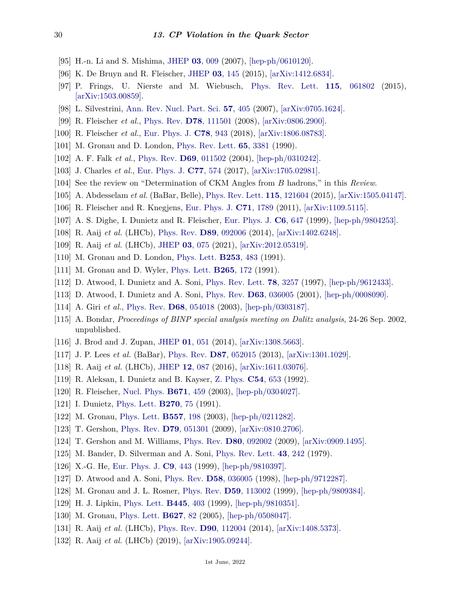- [95] H.-n. Li and S. Mishima, [JHEP](http://doi.org/10.1088/1126-6708/2007/03/009) **03**[, 009](http://doi.org/10.1088/1126-6708/2007/03/009) (2007), [\[hep-ph/0610120\].](https://arxiv.org/abs/hep-ph/0610120)
- [96] K. De Bruyn and R. Fleischer, [JHEP](http://doi.org/10.1007/JHEP03(2015)145) **03**[, 145](http://doi.org/10.1007/JHEP03(2015)145) (2015), [\[arXiv:1412.6834\].](https://arxiv.org/abs/1412.6834)
- <span id="page-29-0"></span>[97] P. Frings, U. Nierste and M. Wiebusch, [Phys. Rev. Lett.](http://doi.org/10.1103/PhysRevLett.115.061802) **115**[, 061802](http://doi.org/10.1103/PhysRevLett.115.061802) (2015), [\[arXiv:1503.00859\].](https://arxiv.org/abs/1503.00859)
- <span id="page-29-1"></span>[98] L. Silvestrini, [Ann. Rev. Nucl. Part. Sci.](http://doi.org/10.1146/annurev.nucl.57.090506.123007) **57**[, 405](http://doi.org/10.1146/annurev.nucl.57.090506.123007) (2007), [\[arXiv:0705.1624\].](https://arxiv.org/abs/0705.1624)
- <span id="page-29-2"></span>[99] R. Fleischer *et al.*, [Phys. Rev.](http://doi.org/10.1103/PhysRevD.78.111501) **D78**[, 111501](http://doi.org/10.1103/PhysRevD.78.111501) (2008), [\[arXiv:0806.2900\].](https://arxiv.org/abs/0806.2900)
- <span id="page-29-3"></span>[100] R. Fleischer *et al.*, [Eur. Phys. J.](http://doi.org/10.1140/epjc/s10052-018-6397-5) **C78**[, 943](http://doi.org/10.1140/epjc/s10052-018-6397-5) (2018), [\[arXiv:1806.08783\].](https://arxiv.org/abs/1806.08783)
- <span id="page-29-4"></span>[101] M. Gronau and D. London, [Phys. Rev. Lett.](http://doi.org/10.1103/PhysRevLett.65.3381) **65**[, 3381](http://doi.org/10.1103/PhysRevLett.65.3381) (1990).
- <span id="page-29-5"></span>[102] A. F. Falk *et al.*, [Phys. Rev.](http://doi.org/10.1103/PhysRevD.69.011502) **D69**[, 011502](http://doi.org/10.1103/PhysRevD.69.011502) (2004), [\[hep-ph/0310242\].](https://arxiv.org/abs/hep-ph/0310242)
- <span id="page-29-6"></span>[103] J. Charles *et al.*, [Eur. Phys. J.](http://doi.org/10.1140/epjc/s10052-017-5126-9) **C77**[, 574](http://doi.org/10.1140/epjc/s10052-017-5126-9) (2017), [\[arXiv:1705.02981\].](https://arxiv.org/abs/1705.02981)
- <span id="page-29-7"></span>[104] See the review on "Determination of CKM Angles from *B* hadrons," in this *Review*.
- <span id="page-29-8"></span>[105] A. Abdesselam *et al.* (BaBar, Belle), [Phys. Rev. Lett.](http://doi.org/10.1103/PhysRevLett.115.121604) **115**[, 121604](http://doi.org/10.1103/PhysRevLett.115.121604) (2015), [\[arXiv:1505.04147\].](https://arxiv.org/abs/1505.04147)
- <span id="page-29-9"></span>[106] R. Fleischer and R. Knegjens, [Eur. Phys. J.](http://doi.org/10.1140/epjc/s10052-011-1789-9) **C71**[, 1789](http://doi.org/10.1140/epjc/s10052-011-1789-9) (2011), [\[arXiv:1109.5115\].](https://arxiv.org/abs/1109.5115)
- <span id="page-29-10"></span>[107] A. S. Dighe, I. Dunietz and R. Fleischer, [Eur. Phys. J.](http://doi.org/10.1007/s100520050372) **C6**[, 647](http://doi.org/10.1007/s100520050372) (1999), [\[hep-ph/9804253\].](https://arxiv.org/abs/hep-ph/9804253)
- <span id="page-29-11"></span>[108] R. Aaij *et al.* (LHCb), [Phys. Rev.](http://doi.org/10.1103/PhysRevD.89.092006) **D89**[, 092006](http://doi.org/10.1103/PhysRevD.89.092006) (2014), [\[arXiv:1402.6248\].](https://arxiv.org/abs/1402.6248)
- <span id="page-29-12"></span>[109] R. Aaij *et al.* (LHCb), [JHEP](http://doi.org/10.1007/JHEP03(2021)075) **03**[, 075](http://doi.org/10.1007/JHEP03(2021)075) (2021), [\[arXiv:2012.05319\].](https://arxiv.org/abs/2012.05319)
- <span id="page-29-13"></span>[110] M. Gronau and D. London, [Phys. Lett.](http://doi.org/10.1016/0370-2693(91)91756-L) **[B253](http://doi.org/10.1016/0370-2693(91)91756-L)**, 483 (1991).
- [111] M. Gronau and D. Wyler, [Phys. Lett.](http://doi.org/10.1016/0370-2693(91)90034-N) **[B265](http://doi.org/10.1016/0370-2693(91)90034-N)**, 172 (1991).
- <span id="page-29-16"></span>[112] D. Atwood, I. Dunietz and A. Soni, [Phys. Rev. Lett.](http://doi.org/10.1103/PhysRevLett.78.3257) **78**[, 3257](http://doi.org/10.1103/PhysRevLett.78.3257) (1997), [\[hep-ph/9612433\].](https://arxiv.org/abs/hep-ph/9612433)
- <span id="page-29-17"></span>[113] D. Atwood, I. Dunietz and A. Soni, [Phys. Rev.](http://doi.org/10.1103/PhysRevD.63.036005) **D63**[, 036005](http://doi.org/10.1103/PhysRevD.63.036005) (2001), [\[hep-ph/0008090\].](https://arxiv.org/abs/hep-ph/0008090)
- [114] A. Giri *et al.*, [Phys. Rev.](http://doi.org/10.1103/PhysRevD.68.054018) **D68**[, 054018](http://doi.org/10.1103/PhysRevD.68.054018) (2003), [\[hep-ph/0303187\].](https://arxiv.org/abs/hep-ph/0303187)
- <span id="page-29-14"></span>[115] A. Bondar, *Proceedings of BINP special analysis meeting on Dalitz analysis*, 24-26 Sep. 2002, unpublished.
- <span id="page-29-15"></span>[116] J. Brod and J. Zupan, [JHEP](http://doi.org/10.1007/JHEP01(2014)051) **01**[, 051](http://doi.org/10.1007/JHEP01(2014)051) (2014), [\[arXiv:1308.5663\].](https://arxiv.org/abs/1308.5663)
- <span id="page-29-18"></span>[117] J. P. Lees *et al.* (BaBar), [Phys. Rev.](http://doi.org/10.1103/PhysRevD.87.052015) **D87**[, 052015](http://doi.org/10.1103/PhysRevD.87.052015) (2013), [\[arXiv:1301.1029\].](https://arxiv.org/abs/1301.1029)
- <span id="page-29-19"></span>[118] R. Aaij *et al.* (LHCb), [JHEP](http://doi.org/10.1007/JHEP12(2016)087) **12**[, 087](http://doi.org/10.1007/JHEP12(2016)087) (2016), [\[arXiv:1611.03076\].](https://arxiv.org/abs/1611.03076)
- <span id="page-29-20"></span>[119] R. Aleksan, I. Dunietz and B. Kayser, [Z. Phys.](http://doi.org/10.1007/BF01559494) **C54**[, 653](http://doi.org/10.1007/BF01559494) (1992).
- <span id="page-29-22"></span><span id="page-29-21"></span>[120] R. Fleischer, [Nucl. Phys.](http://doi.org/10.1016/j.nuclphysb.2003.08.010) **[B671](http://doi.org/10.1016/j.nuclphysb.2003.08.010)**, 459 (2003), [\[hep-ph/0304027\].](https://arxiv.org/abs/hep-ph/0304027)
- [121] I. Dunietz, [Phys. Lett.](http://doi.org/10.1016/0370-2693(91)91542-4) **[B270](http://doi.org/10.1016/0370-2693(91)91542-4)**, 75 (1991).
- [122] M. Gronau, [Phys. Lett.](http://doi.org/10.1016/S0370-2693(03)00192-8) **[B557](http://doi.org/10.1016/S0370-2693(03)00192-8)**, 198 (2003), [\[hep-ph/0211282\].](https://arxiv.org/abs/hep-ph/0211282)
- [123] T. Gershon, [Phys. Rev.](http://doi.org/10.1103/PhysRevD.79.051301) **D79**[, 051301](http://doi.org/10.1103/PhysRevD.79.051301) (2009), [\[arXiv:0810.2706\].](https://arxiv.org/abs/0810.2706)
- <span id="page-29-24"></span><span id="page-29-23"></span>[124] T. Gershon and M. Williams, [Phys. Rev.](http://doi.org/10.1103/PhysRevD.80.092002) **D80**[, 092002](http://doi.org/10.1103/PhysRevD.80.092002) (2009), [\[arXiv:0909.1495\].](https://arxiv.org/abs/0909.1495)
- [125] M. Bander, D. Silverman and A. Soni, [Phys. Rev. Lett.](http://doi.org/10.1103/PhysRevLett.43.242) **43**[, 242](http://doi.org/10.1103/PhysRevLett.43.242) (1979).
- <span id="page-29-26"></span><span id="page-29-25"></span>[126] X.-G. He, [Eur. Phys. J.](http://doi.org/10.1007/s100529900064) **C9**[, 443](http://doi.org/10.1007/s100529900064) (1999), [\[hep-ph/9810397\].](https://arxiv.org/abs/hep-ph/9810397)
- [127] D. Atwood and A. Soni, [Phys. Rev.](http://doi.org/10.1103/PhysRevD.58.036005) **D58**[, 036005](http://doi.org/10.1103/PhysRevD.58.036005) (1998), [\[hep-ph/9712287\].](https://arxiv.org/abs/hep-ph/9712287)
- [128] M. Gronau and J. L. Rosner, [Phys. Rev.](http://doi.org/10.1103/PhysRevD.59.113002) **D59**[, 113002](http://doi.org/10.1103/PhysRevD.59.113002) (1999), [\[hep-ph/9809384\].](https://arxiv.org/abs/hep-ph/9809384)
- [129] H. J. Lipkin, [Phys. Lett.](http://doi.org/10.1016/S0370-2693(98)01471-3) **[B445](http://doi.org/10.1016/S0370-2693(98)01471-3)**, 403 (1999), [\[hep-ph/9810351\].](https://arxiv.org/abs/hep-ph/9810351)
- <span id="page-29-27"></span>[130] M. Gronau, [Phys. Lett.](http://doi.org/10.1016/j.physletb.2005.09.014) **[B627](http://doi.org/10.1016/j.physletb.2005.09.014)**, 82 (2005), [\[hep-ph/0508047\].](https://arxiv.org/abs/hep-ph/0508047)
- <span id="page-29-28"></span>[131] R. Aaij *et al.* (LHCb), [Phys. Rev.](http://doi.org/10.1103/PhysRevD.90.112004) **D90**[, 112004](http://doi.org/10.1103/PhysRevD.90.112004) (2014), [\[arXiv:1408.5373\].](https://arxiv.org/abs/1408.5373)
- <span id="page-29-29"></span>[132] R. Aaij *et al.* (LHCb) (2019), [\[arXiv:1905.09244\].](https://arxiv.org/abs/1905.09244)